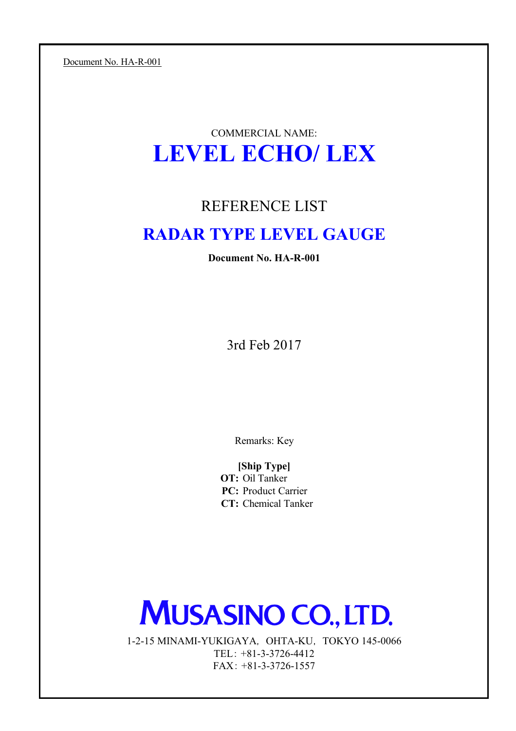Document No. HA-R-001

# COMMERCIAL NAME: **LEVEL ECHO/ LEX**

# REFERENCE LIST

# **RADAR TYPE LEVEL GAUGE**

**Document No. HA-R-001**

3rd Feb 2017

Remarks: Key

**OT:** Oil Tanker **PC:** Product Carrier **CT:** Chemical Tanker **[Ship Type]**

# **MUSASINO CO., LTD.**

FAX: +81-3-3726-1557 1-2-15 MINAMI-YUKIGAYA, OHTA-KU, TOKYO 145-0066 TEL: +81-3-3726-4412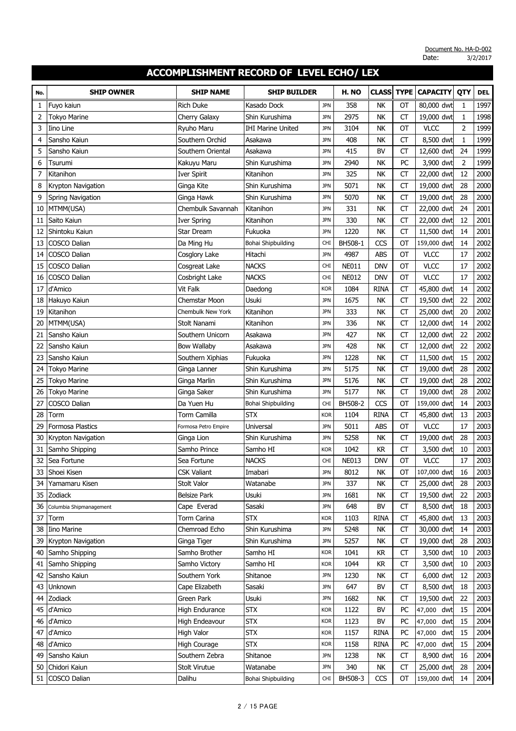| No.      | <b>SHIP OWNER</b>        | <b>SHIP NAME</b>             | <b>SHIP BUILDER</b>      |                          | H. NO        | <b>CLASS</b> | <b>TYPE</b>     | <b>CAPACITY</b>          | QTY      | <b>DEL</b>   |
|----------|--------------------------|------------------------------|--------------------------|--------------------------|--------------|--------------|-----------------|--------------------------|----------|--------------|
| 1        | Fuyo kaiun               | <b>Rich Duke</b>             | Kasado Dock              | <b>JPN</b>               | 358          | <b>NK</b>    | ОТ              | 80,000 dwt               | 1        | 1997         |
| 2        | Tokyo Marine             | Cherry Galaxy                | Shin Kurushima           | <b>JPN</b>               | 2975         | NK           | <b>CT</b>       | 19,000 dwt               | 1        | 1998         |
| 3        | Iino Line                | Ryuho Maru                   | <b>IHI Marine United</b> | <b>JPN</b>               | 3104         | <b>NK</b>    | OT              | <b>VLCC</b>              | 2        | 1999         |
| 4        | Sansho Kaiun             | Southern Orchid              | Asakawa                  | <b>JPN</b>               | 408          | <b>NK</b>    | <b>CT</b>       | 8,500 dwt                | 1        | 1999         |
| 5        | Sansho Kaiun             | Southern Oriental            | Asakawa                  | <b>JPN</b>               | 415          | <b>BV</b>    | CT              | 12,600 dwt               | 24       | 1999         |
| 6        | Tsurumi                  | Kakuyu Maru                  | Shin Kurushima           | <b>JPN</b>               | 2940         | <b>NK</b>    | PC              | 3,900 dwt                | 2        | 1999         |
| 7        | Kitanihon                | <b>Iver Spirit</b>           | Kitanihon                | <b>JPN</b>               | 325          | <b>NK</b>    | <b>CT</b>       | 22,000 dwt               | 12       | 2000         |
| 8        | Krypton Navigation       | Ginga Kite                   | Shin Kurushima           | <b>JPN</b>               | 5071         | <b>NK</b>    | CT              | 19,000 dwt               | 28       | 2000         |
| 9        | <b>Spring Navigation</b> | Ginga Hawk                   | Shin Kurushima           | <b>JPN</b>               | 5070         | <b>NK</b>    | <b>CT</b>       | 19,000 dwt               | 28       | 2000         |
| 10       | MTMM(USA)                | Chembulk Savannah            | Kitanihon                | <b>JPN</b>               | 331          | <b>NK</b>    | <b>CT</b>       | 22,000 dwt               | 24       | 2001         |
| 11       | Saito Kaiun              | <b>Iver Spring</b>           | Kitanihon                | <b>JPN</b>               | 330          | <b>NK</b>    | СT              | 22,000 dwt               | 12       | 2001         |
| 12       | Shintoku Kaiun           | Star Dream                   | Fukuoka                  | <b>JPN</b>               | 1220         | <b>NK</b>    | <b>CT</b>       | 11,500 dwt               | 14       | 2001         |
| 13       | COSCO Dalian             | Da Ming Hu                   | Bohai Shipbuilding       | <b>CHI</b>               | BH508-1      | CCS          | OT              | 159,000 dwt              | 14       | 2002         |
| 14       | COSCO Dalian             | Cosglory Lake                | Hitachi                  | <b>JPN</b>               | 4987         | <b>ABS</b>   | OT              | <b>VLCC</b>              | 17       | 2002         |
| 15       | COSCO Dalian             | Cosgreat Lake                | <b>NACKS</b>             | <b>CHI</b>               | <b>NE011</b> | <b>DNV</b>   | OT              | <b>VLCC</b>              | 17       | 2002         |
| 16       | <b>COSCO Dalian</b>      | Cosbright Lake               | <b>NACKS</b>             | <b>CHI</b>               | <b>NE012</b> | <b>DNV</b>   | OT              | <b>VLCC</b>              | 17       | 2002         |
| 17       | d'Amico                  | Vit Falk                     | Daedong                  | <b>KOR</b>               | 1084         | <b>RINA</b>  | <b>CT</b>       | 45,800 dwt               | 14       | 2002         |
| 18       | Hakuyo Kaiun             | Chemstar Moon                | Usuki                    | <b>JPN</b>               | 1675         | <b>NK</b>    | CT              | 19,500 dwt               | 22       | 2002         |
| 19       | Kitanihon                | Chembulk New York            | Kitanihon                | <b>JPN</b>               | 333          | <b>NK</b>    | <b>CT</b>       | 25,000 dwt               | 20       | 2002         |
| 20       | MTMM(USA)                | Stolt Nanami                 | Kitanihon                | <b>JPN</b>               | 336          | <b>NK</b>    | <b>CT</b>       | 12,000 dwt               | 14       | 2002         |
| 21       | Sansho Kaiun             | Southern Unicorn             | Asakawa                  | <b>JPN</b>               | 427          | <b>NK</b>    | СT              | 12,000 dwt               | 22       | 2002         |
| 22       | Sansho Kaiun             | <b>Bow Wallaby</b>           | Asakawa                  | <b>JPN</b>               | 428          | <b>NK</b>    | <b>CT</b>       | 12,000 dwt               | 22       | 2002         |
| 23       | Sansho Kaiun             | Southern Xiphias             | Fukuoka                  | <b>JPN</b>               | 1228         | <b>NK</b>    | <b>CT</b>       | 11,500 dwt               | 15       | 2002         |
| 24       | <b>Tokyo Marine</b>      | Ginga Lanner                 | Shin Kurushima           | <b>JPN</b>               | 5175         | <b>NK</b>    | <b>CT</b>       | 19,000 dwt               | 28       | 2002         |
| 25       | Tokyo Marine             | Ginga Marlin                 | Shin Kurushima           | <b>JPN</b>               | 5176         | <b>NK</b>    | CT              | 19,000 dwt               | 28       | 2002         |
| 26       | <b>Tokyo Marine</b>      | Ginga Saker                  | Shin Kurushima           | <b>JPN</b>               | 5177         | <b>NK</b>    | СT              | 19,000 dwt               | 28       | 2002         |
| 27       | COSCO Dalian             | Da Yuen Hu                   | Bohai Shipbuilding       | <b>CHI</b>               | BH508-2      | CCS          | OT              | 159,000 dwt              | 14       | 2003         |
| 28       | Torm                     | Torm Camilla                 | <b>STX</b>               | <b>KOR</b>               | 1104         | <b>RINA</b>  | CT              | 45,800 dwt               | 13       | 2003         |
| 29       | <b>Formosa Plastics</b>  | Formosa Petro Empire         | Universal                | <b>JPN</b>               | 5011         | <b>ABS</b>   | OT              | <b>VLCC</b>              | 17       | 2003         |
| 30       | Krypton Navigation       | Ginga Lion                   | Shin Kurushima           | <b>JPN</b>               | 5258         | <b>NK</b>    | CT              | 19,000 dwt               | 28       | 2003         |
| 31       | Samho Shipping           | Samho Prince                 | Samho HI                 | <b>KOR</b>               | 1042         | <b>KR</b>    | СT              | 3,500 dwt                | 10       | 2003         |
| 32       | Sea Fortune              | Sea Fortune                  | <b>NACKS</b>             | <b>CHI</b>               | <b>NE013</b> | <b>DNV</b>   | ОT              | <b>VLCC</b>              | 17       | 2003         |
| 33       | Shoei Kisen              | <b>CSK Valiant</b>           | Imabari                  | <b>JPN</b>               | 8012         | NK           | ОТ              | 107,000 dwt              | 16       | 2003         |
| 34       | Yamamaru Kisen           | <b>Stolt Valor</b>           | Watanabe                 | <b>JPN</b>               | 337          | <b>NK</b>    | <b>CT</b>       | 25,000 dwt               | 28       | 2003         |
| 35       | Zodiack                  | <b>Belsize Park</b>          | Usuki                    | <b>JPN</b>               | 1681         | <b>NK</b>    | CT              | 19,500 dwt               | 22       | 2003         |
| 36       | Columbia Shipmanagement  | Cape Everad                  | Sasaki                   | <b>JPN</b>               | 648          | <b>BV</b>    | CT              | 8,500 dwt                | 18       | 2003         |
| 37       | Torm                     | Torm Carina                  | <b>STX</b>               | <b>KOR</b>               | 1103         | <b>RINA</b>  | <b>CT</b>       | 45,800 dwt               | 13       | 2003         |
| 38       | Iino Marine              | Chemroad Echo                | Shin Kurushima           | <b>JPN</b>               | 5248         | NK           | CT              | 30,000 dwt               | 14       | 2003         |
| 39       | Krypton Navigation       | Ginga Tiger                  | Shin Kurushima           | <b>JPN</b>               | 5257         | <b>NK</b>    | СT              | 19,000 dwt               | 28       | 2003         |
| 40       | Samho Shipping           | Samho Brother                | Samho HI                 | <b>KOR</b>               | 1041         | KR           | CT              | 3,500 dwt                | 10       | 2003         |
| 41       | Samho Shipping           | Samho Victory                | Samho HI                 | <b>KOR</b>               | 1044         | <b>KR</b>    | СT              | 3,500 dwt                | 10       | 2003         |
| 42       | Sansho Kaiun             | Southern York                | Shitanoe<br>Sasaki       | <b>JPN</b>               | 1230         | NK           | <b>CT</b>       | 6,000 dwt                | 12       | 2003         |
| 43       | Unknown<br>Zodiack       | Cape Elizabeth<br>Green Park | Usuki                    | <b>JPN</b><br><b>JPN</b> | 647<br>1682  | <b>BV</b>    | CT<br><b>CT</b> | 8,500 dwt<br>19,500 dwt  | 18<br>22 | 2003<br>2003 |
| 44<br>45 | d'Amico                  | High Endurance               | <b>STX</b>               | <b>KOR</b>               | 1122         | NK<br>BV     | PC              | 47,000 dwt               | 15       | 2004         |
| 46       | d'Amico                  | High Endeavour               | <b>STX</b>               | <b>KOR</b>               | 1123         | <b>BV</b>    | PC              | 47,000 dwt               | 15       | 2004         |
| 47       | d'Amico                  | High Valor                   | <b>STX</b>               | <b>KOR</b>               | 1157         | <b>RINA</b>  | PC              |                          | 15       | 2004         |
| 48       | d'Amico                  | High Courage                 | <b>STX</b>               | <b>KOR</b>               | 1158         | <b>RINA</b>  | PC              | 47,000 dwt<br>47,000 dwt | 15       | 2004         |
| 49       | Sansho Kaiun             | Southern Zebra               | Shitanoe                 | <b>JPN</b>               | 1238         | <b>NK</b>    | <b>CT</b>       | 8,900 dwt                | 16       | 2004         |
| 50       | Chidori Kaiun            | Stolt Virutue                | Watanabe                 | <b>JPN</b>               | 340          | NK           | <b>CT</b>       | 25,000 dwt               | 28       | 2004         |
| 51       | COSCO Dalian             | Dalihu                       | Bohai Shipbuilding       | <b>CHI</b>               | BH508-3      | CCS          | ОТ              | 159,000 dwt              | 14       | 2004         |
|          |                          |                              |                          |                          |              |              |                 |                          |          |              |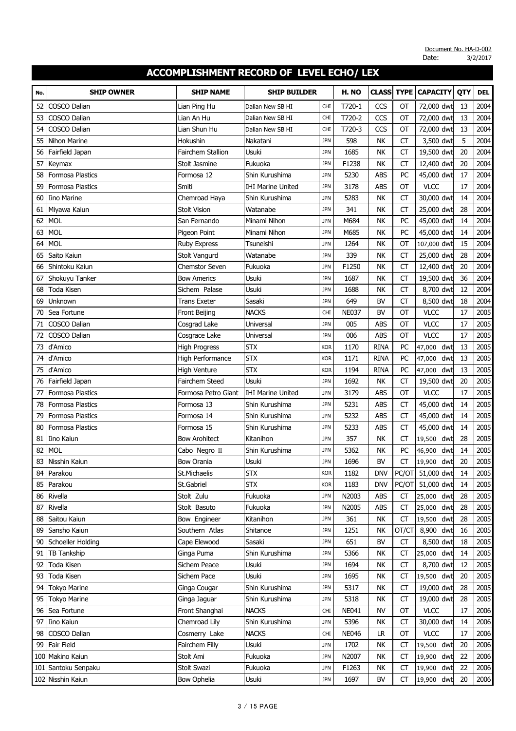| No. | <b>SHIP OWNER</b>       | <b>SHIP NAME</b>      | <b>SHIP BUILDER</b>      |            | H. NO        | <b>CLASS</b> | <b>TYPE</b> | <b>CAPACITY</b>  | QTY | <b>DEL</b> |
|-----|-------------------------|-----------------------|--------------------------|------------|--------------|--------------|-------------|------------------|-----|------------|
| 52  | <b>COSCO Dalian</b>     | Lian Ping Hu          | Dalian New SB HI         | CHI        | T720-1       | CCS          | OT          | 72,000 dwt       | 13  | 2004       |
| 53  | COSCO Dalian            | Lian An Hu            | Dalian New SB HI         | <b>CHI</b> | T720-2       | CCS          | OT          | 72,000 dwt       | 13  | 2004       |
| 54  | COSCO Dalian            | Lian Shun Hu          | Dalian New SB HI         | <b>CHI</b> | T720-3       | CCS          | OT          | 72,000 dwt       | 13  | 2004       |
| 55  | Nihon Marine            | Hokushin              | Nakatani                 | <b>JPN</b> | 598          | NK           | <b>CT</b>   | 3,500 dwt        | 5   | 2004       |
| 56  | Fairfield Japan         | Fairchem Stallion     | Usuki                    | <b>JPN</b> | 1685         | NK           | <b>CT</b>   | 19,500 dwt       | 20  | 2004       |
| 57  | Keymax                  | Stolt Jasmine         | Fukuoka                  | <b>JPN</b> | F1238        | NK           | <b>CT</b>   | 12,400 dwt       | 20  | 2004       |
| 58  | <b>Formosa Plastics</b> | Formosa 12            | Shin Kurushima           | <b>JPN</b> | 5230         | <b>ABS</b>   | PC          | 45,000 dwt       | 17  | 2004       |
| 59  | Formosa Plastics        | Smiti                 | <b>IHI Marine United</b> | <b>JPN</b> | 3178         | ABS          | OT          | <b>VLCC</b>      | 17  | 2004       |
| 60  | <b>Iino Marine</b>      | Chemroad Haya         | Shin Kurushima           | <b>JPN</b> | 5283         | NK           | <b>CT</b>   | 30,000 dwt       | 14  | 2004       |
| 61  | Miyawa Kaiun            | <b>Stolt Vision</b>   | Watanabe                 | <b>JPN</b> | 341          | NK           | <b>CT</b>   | 25,000 dwt       | 28  | 2004       |
| 62  | <b>MOL</b>              | San Fernando          | Minami Nihon             | <b>JPN</b> | M684         | NK           | PC          | 45,000 dwt       | 14  | 2004       |
| 63  | <b>MOL</b>              | Pigeon Point          | Minami Nihon             | <b>JPN</b> | M685         | NK           | PC          | 45,000 dwt       | 14  | 2004       |
| 64  | <b>MOL</b>              | <b>Ruby Express</b>   | Tsuneishi                | <b>JPN</b> | 1264         | <b>NK</b>    | OT          | 107,000 dwt      | 15  | 2004       |
| 65  | Saito Kaiun             | <b>Stolt Vangurd</b>  | Watanabe                 | <b>JPN</b> | 339          | <b>NK</b>    | <b>CT</b>   | 25,000 dwt       | 28  | 2004       |
| 66  | Shintoku Kaiun          | <b>Chemstor Seven</b> | Fukuoka                  | <b>JPN</b> | F1250        | NK           | <b>CT</b>   | 12,400 dwt       | 20  | 2004       |
| 67  | Shokuyu Tanker          | <b>Bow Americs</b>    | Usuki                    | <b>JPN</b> | 1687         | NK           | <b>CT</b>   | 19,500 dwt       | 36  | 2004       |
| 68  | Toda Kisen              | Sichem Palase         | Usuki                    | <b>JPN</b> | 1688         | <b>NK</b>    | <b>CT</b>   | 8,700 dwt        | 12  | 2004       |
| 69  | Unknown                 | <b>Trans Exeter</b>   | Sasaki                   | <b>JPN</b> | 649          | <b>BV</b>    | <b>CT</b>   | 8,500 dwt        | 18  | 2004       |
| 70  | Sea Fortune             | Front Beijing         | <b>NACKS</b>             | <b>CHI</b> | <b>NE037</b> | BV           | OT          | <b>VLCC</b>      | 17  | 2005       |
| 71  | COSCO Dalian            | Cosgrad Lake          | Universal                | <b>JPN</b> | 005          | <b>ABS</b>   | OT          | <b>VLCC</b>      | 17  | 2005       |
| 72  | COSCO Dalian            | Cosgrace Lake         | Universal                | <b>JPN</b> | 006          | <b>ABS</b>   | OT          | <b>VLCC</b>      | 17  | 2005       |
| 73  | d'Amico                 | <b>High Progress</b>  | <b>STX</b>               | <b>KOR</b> | 1170         | <b>RINA</b>  | PC          | dwt<br>47,000    | 13  | 2005       |
| 74  | d'Amico                 | High Performance      | <b>STX</b>               | <b>KOR</b> | 1171         | <b>RINA</b>  | PC          | dwt<br>47,000    | 13  | 2005       |
| 75  | d'Amico                 | <b>High Venture</b>   | <b>STX</b>               | <b>KOR</b> | 1194         | <b>RINA</b>  | PC          | dwt<br>47,000    | 13  | 2005       |
| 76  | Fairfield Japan         | Fairchem Steed        | Usuki                    | <b>JPN</b> | 1692         | <b>NK</b>    | <b>CT</b>   | 19,500 dwt       | 20  | 2005       |
| 77  | Formosa Plastics        | Formosa Petro Giant   | <b>IHI Marine United</b> | <b>JPN</b> | 3179         | ABS          | OT          | <b>VLCC</b>      | 17  | 2005       |
| 78  | Formosa Plastics        | Formosa 13            | Shin Kurushima           | <b>JPN</b> | 5231         | <b>ABS</b>   | <b>CT</b>   | 45,000 dwt       | 14  | 2005       |
| 79  | <b>Formosa Plastics</b> | Formosa 14            | Shin Kurushima           | <b>JPN</b> | 5232         | <b>ABS</b>   | CT          | 45,000 dwt       | 14  | 2005       |
| 80  | <b>Formosa Plastics</b> | Formosa 15            | Shin Kurushima           | <b>JPN</b> | 5233         | ABS          | <b>CT</b>   | 45,000 dwt       | 14  | 2005       |
| 81  | Iino Kaiun              | <b>Bow Arohitect</b>  | Kitanihon                | <b>JPN</b> | 357          | NK           | <b>CT</b>   | dwt<br>19,500    | 28  | 2005       |
| 82  | <b>MOL</b>              | Cabo Negro II         | Shin Kurushima           | <b>JPN</b> | 5362         | <b>NK</b>    | PC          | dwt<br>46,900    | 14  | 2005       |
| 83  | Nisshin Kaiun           | <b>Bow Orania</b>     | Usuki                    | <b>JPN</b> | 1696         | BV           | <b>CT</b>   | dwt<br>19,900    | 20  | 2005       |
|     | 84 Parakou              | St.Michaelis          | <b>STX</b>               | <b>KOR</b> | 1182         | <b>DNV</b>   |             | PC/OT 51,000 dwt | 14  | 2005       |
| 85  | Parakou                 | St.Gabriel            | <b>STX</b>               | <b>KOR</b> | 1183         | <b>DNV</b>   | PC/OT       | 51,000 dwt       | 14  | 2005       |
| 86  | Rivella                 | Stolt Zulu            | Fukuoka                  | <b>JPN</b> | N2003        | ABS          | CT          | 25,000 dwt       | 28  | 2005       |
| 87  | Rivella                 | Stolt Basuto          | Fukuoka                  | <b>JPN</b> | N2005        | ABS          | <b>CT</b>   | 25,000 dwt       | 28  | 2005       |
| 88  | Saitou Kaiun            | Bow Engineer          | Kitanihon                | <b>JPN</b> | 361          | NK           | <b>CT</b>   | 19,500<br>dwt    | 28  | 2005       |
| 89  | Sansho Kaiun            | Southern Atlas        | Shitanoe                 | <b>JPN</b> | 1251         | NΚ           | OT/CT       | 8,900<br>dwt     | 16  | 2005       |
| 90  | Schoeller Holding       | Cape Elewood          | Sasaki                   | <b>JPN</b> | 651          | BV           | <b>CT</b>   | 8,500 dwt        | 18  | 2005       |
| 91  | <b>TB Tankship</b>      | Ginga Puma            | Shin Kurushima           | <b>JPN</b> | 5366         | NΚ           | CT          | 25,000 dwt       | 14  | 2005       |
| 92  | Toda Kisen              | Sichem Peace          | Usuki                    | <b>JPN</b> | 1694         | NΚ           | <b>CT</b>   | 8,700 dwt        | 12  | 2005       |
| 93  | Toda Kisen              | Sichem Pace           | Usuki                    | <b>JPN</b> | 1695         | NΚ           | <b>CT</b>   | 19,500 dwt       | 20  | 2005       |
| 94  | <b>Tokyo Marine</b>     | Ginga Cougar          | Shin Kurushima           | <b>JPN</b> | 5317         | NΚ           | CT          | 19,000 dwt       | 28  | 2005       |
| 95  | <b>Tokyo Marine</b>     | Ginga Jaguar          | Shin Kurushima           | <b>JPN</b> | 5318         | NK           | CT          | 19,000 dwt       | 28  | 2005       |
| 96  | Sea Fortune             | Front Shanghai        | <b>NACKS</b>             | <b>CHI</b> | NE041        | <b>NV</b>    | <b>OT</b>   | <b>VLCC</b>      | 17  | 2006       |
| 97  | Iino Kaiun              | Chemroad Lily         | Shin Kurushima           | <b>JPN</b> | 5396         | NΚ           | CT          | 30,000 dwt       | 14  | 2006       |
| 98  | COSCO Dalian            | Cosmerry Lake         | <b>NACKS</b>             | <b>CHI</b> | <b>NE046</b> | LR           | OT          | <b>VLCC</b>      | 17  | 2006       |
| 99  | Fair Field              | Fairchem Filly        | Usuki                    | <b>JPN</b> | 1702         | NΚ           | СT          | 19,500 dwt       | 20  | 2006       |
|     | 100 Makino Kaiun        | Stolt Ami             | Fukuoka                  | <b>JPN</b> | N2007        | NK           | <b>CT</b>   | 19,900 dwt       | 22  | 2006       |
|     | 101 Santoku Senpaku     | Stolt Swazi           | Fukuoka                  | <b>JPN</b> | F1263        | NΚ           | CT          | 19,900<br>dwt    | 22  | 2006       |
|     | 102 Nisshin Kaiun       | <b>Bow Ophelia</b>    | Usuki                    | <b>JPN</b> | 1697         | BV           | <b>CT</b>   | 19,900 dwt       | 20  | 2006       |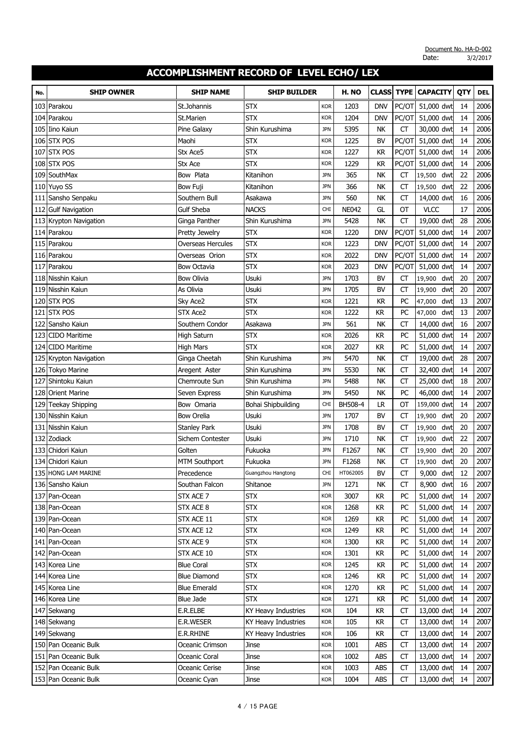| No. | <b>SHIP OWNER</b>                            | <b>SHIP NAME</b>                | <b>SHIP BUILDER</b> |                          | H. NO        | <b>CLASS</b> | <b>TYPE</b> | <b>CAPACITY</b>          | QTY      | <b>DEL</b>   |
|-----|----------------------------------------------|---------------------------------|---------------------|--------------------------|--------------|--------------|-------------|--------------------------|----------|--------------|
| 103 | Parakou                                      | St.Johannis                     | <b>STX</b>          | <b>KOR</b>               | 1203         | <b>DNV</b>   | PC/OT       | 51,000 dwt               | 14       | 2006         |
| 104 | Parakou                                      | St.Marien                       | <b>STX</b>          | <b>KOR</b>               | 1204         | DNV          | PC/OT       | 51,000 dwt               | 14       | 2006         |
| 105 | Iino Kaiun                                   | Pine Galaxy                     | Shin Kurushima      | <b>JPN</b>               | 5395         | <b>NK</b>    | <b>CT</b>   | 30,000 dwt               | 14       | 2006         |
|     | 106 STX POS                                  | Maohi                           | <b>STX</b>          | <b>KOR</b>               | 1225         | <b>BV</b>    | PC/OT       | 51,000 dwt               | 14       | 2006         |
| 107 | <b>STX POS</b>                               | Stx Ace5                        | <b>STX</b>          | <b>KOR</b>               | 1227         | <b>KR</b>    | PC/OT       | 51,000 dwt               | 14       | 2006         |
| 108 | <b>STX POS</b>                               | Stx Ace                         | <b>STX</b>          | <b>KOR</b>               | 1229         | <b>KR</b>    | PC/OT       | 51,000 dwt               | 14       | 2006         |
| 109 | SouthMax                                     | Bow Plata                       | Kitanihon           | <b>JPN</b>               | 365          | <b>NK</b>    | СT          | 19,500<br>dwt            | 22       | 2006         |
| 110 | Yuyo SS                                      | <b>Bow Fuji</b>                 | Kitanihon           | <b>JPN</b>               | 366          | <b>NK</b>    | CT          | 19,500<br>dwt            | 22       | 2006         |
| 111 | Sansho Senpaku                               | Southern Bull                   | Asakawa             | <b>JPN</b>               | 560          | <b>NK</b>    | <b>CT</b>   | 14,000 dwt               | 16       | 2006         |
| 112 | <b>Gulf Navigation</b>                       | <b>Gulf Sheba</b>               | <b>NACKS</b>        | <b>CHI</b>               | <b>NE042</b> | GL           | OT          | <b>VLCC</b>              | 17       | 2006         |
| 113 | Krypton Navigation                           | Ginga Panther                   | Shin Kurushima      | <b>JPN</b>               | 5428         | <b>NK</b>    | <b>CT</b>   | 19,000 dwt               | 28       | 2006         |
| 114 | Parakou                                      | Pretty Jewelry                  | <b>STX</b>          | <b>KOR</b>               | 1220         | <b>DNV</b>   | PC/OT       | 51,000 dwt               | 14       | 2007         |
| 115 | Parakou                                      | Overseas Hercules               | <b>STX</b>          | <b>KOR</b>               | 1223         | <b>DNV</b>   | PC/OT       | 51,000 dwt               | 14       | 2007         |
| 116 | Parakou                                      | Overseas Orion                  | <b>STX</b>          | <b>KOR</b>               | 2022         | <b>DNV</b>   | PC/OT       | 51,000 dwt               | 14       | 2007         |
| 117 | Parakou                                      | <b>Bow Octavia</b>              | <b>STX</b>          | <b>KOR</b>               | 2023         | <b>DNV</b>   | PC/OT       | 51,000 dwt               | 14       | 2007         |
| 118 | Nisshin Kaiun                                | <b>Bow Olivia</b>               | Usuki               | <b>JPN</b>               | 1703         | <b>BV</b>    | <b>CT</b>   | 19,900 dwt               | 20       | 2007         |
| 119 | Nisshin Kaiun                                | As Olivia                       | Usuki               | <b>JPN</b>               | 1705         | <b>BV</b>    | CT          | 19,900<br>dwt            | 20       | 2007         |
| 120 | <b>STX POS</b>                               | Sky Ace2                        | <b>STX</b>          | <b>KOR</b>               | 1221         | <b>KR</b>    | PC          | 47,000<br>dwt            | 13       | 2007         |
| 121 | <b>STX POS</b>                               | <b>STX Ace2</b>                 | <b>STX</b>          | <b>KOR</b>               | 1222         | <b>KR</b>    | PC          | dwt<br>47,000            | 13       | 2007         |
| 122 | Sansho Kaiun                                 | Southern Condor                 | Asakawa             | <b>JPN</b>               | 561          | NK           | CT          | 14,000 dwt               | 16       | 2007         |
| 123 | <b>CIDO Maritime</b>                         | <b>High Saturn</b>              | <b>STX</b>          | <b>KOR</b>               | 2026         | <b>KR</b>    | PC          | 51,000 dwt               | 14       | 2007         |
| 124 | <b>CIDO Maritime</b>                         | <b>High Mars</b>                | <b>STX</b>          | <b>KOR</b>               | 2027         | <b>KR</b>    | PC          | 51,000 dwt               | 14       | 2007         |
| 125 | Krypton Navigation                           | Ginga Cheetah                   | Shin Kurushima      | <b>JPN</b>               | 5470         | <b>NK</b>    | <b>CT</b>   | 19,000 dwt               | 28       | 2007         |
| 126 | <b>Tokyo Marine</b>                          | Aregent Aster                   | Shin Kurushima      | <b>JPN</b>               | 5530         | <b>NK</b>    | <b>CT</b>   | 32,400 dwt               | 14       | 2007         |
| 127 | Shintoku Kaiun                               | Chemroute Sun                   | Shin Kurushima      | <b>JPN</b>               | 5488         | NK           | CT          | 25,000 dwt               | 18       | 2007         |
| 128 | <b>Orient Marine</b>                         | Seven Express                   | Shin Kurushima      | <b>JPN</b>               | 5450         | <b>NK</b>    | PC          | 46,000 dwt               | 14       | 2007         |
| 129 | <b>Teekay Shipping</b>                       | Bow Omaria                      | Bohai Shipbuilding  | <b>CHI</b>               | BH508-4      | <b>LR</b>    | OT          | 159,000 dwt              | 14       | 2007         |
| 130 | Nisshin Kaiun                                | <b>Bow Orelia</b>               | Usuki               | <b>JPN</b>               | 1707         | <b>BV</b>    | <b>CT</b>   | dwt<br>19,900            | 20       | 2007         |
| 131 | Nisshin Kaiun                                | <b>Stanley Park</b>             | Usuki               | <b>JPN</b>               | 1708         | BV           | <b>CT</b>   | dwt<br>19,900            | 20       | 2007         |
| 132 | Zodiack                                      | Sichem Contester                | Usuki               | <b>JPN</b>               | 1710         | <b>NK</b>    | CT          | dwt<br>19,900            | 22       | 2007         |
| 133 | Chidori Kaiun                                | Golten                          | Fukuoka             | <b>JPN</b>               | F1267        | <b>NK</b>    | <b>CT</b>   | dwt<br>19,900            | 20       | 2007         |
| 134 | Chidori Kaiun                                | <b>MTM Southport</b>            | Fukuoka             | <b>JPN</b>               | F1268        | <b>NK</b>    | <b>CT</b>   | dwt<br>19,900            | 20       | 2007         |
|     | 135 HONG LAM MARINE                          | Precedence                      | Guangzhou Hangtong  | CHI                      | HT062005     | BV           | CT          | 9,000 dwt                | 12       | 2007         |
|     | 136 Sansho Kaiun                             | Southan Falcon                  | Shitanoe            | <b>JPN</b>               | 1271         | NK           | <b>CT</b>   | 8,900 dwt                | 16       | 2007         |
|     | 137 Pan-Ocean                                | STX ACE 7                       | <b>STX</b>          | <b>KOR</b>               | 3007         | <b>KR</b>    | PC          | 51,000 dwt               | 14       | 2007         |
|     | 138 Pan-Ocean                                | STX ACE 8                       | <b>STX</b>          | <b>KOR</b>               | 1268         | <b>KR</b>    | PC          | 51,000 dwt               | 14       | 2007         |
|     | 139 Pan-Ocean                                | STX ACE 11                      | <b>STX</b>          | <b>KOR</b>               | 1269         | KR           | PC          | 51,000 dwt               | 14       | 2007         |
| 140 | Pan-Ocean                                    | STX ACE 12                      | <b>STX</b>          | <b>KOR</b>               | 1249         | KR           | PC          | 51,000 dwt               | 14       | 2007         |
|     | 141 Pan-Ocean                                | STX ACE 9                       | <b>STX</b>          | <b>KOR</b>               | 1300         | KR           | PC          | 51,000 dwt               | 14       | 2007         |
|     | 142 Pan-Ocean                                | STX ACE 10                      | <b>STX</b>          | <b>KOR</b>               | 1301         | <b>KR</b>    | PC          | 51,000 dwt               | 14       | 2007         |
|     | 143 Korea Line                               | <b>Blue Coral</b>               | <b>STX</b>          | <b>KOR</b>               | 1245         | <b>KR</b>    | PC          | 51,000 dwt               | 14       | 2007         |
|     | 144 Korea Line                               | <b>Blue Diamond</b>             | <b>STX</b>          | <b>KOR</b>               | 1246         | KR           | PC          | 51,000 dwt               | 14       | 2007         |
|     | 145 Korea Line                               | <b>Blue Emerald</b>             | <b>STX</b>          | <b>KOR</b>               | 1270         | KR           | PC          | 51,000 dwt               | 14       | 2007         |
|     | 146 Korea Line                               | <b>Blue Jade</b>                | <b>STX</b>          | <b>KOR</b>               | 1271         | KR           | PC          | 51,000 dwt               | 14       | 2007         |
|     | 147 Sekwang                                  | E.R.ELBE                        | KY Heavy Industries | <b>KOR</b>               | 104          | <b>KR</b>    | CT          | 13,000 dwt               | 14       | 2007         |
|     | 148 Sekwang                                  | E.R.WESER                       | KY Heavy Industries | <b>KOR</b>               | 105          | <b>KR</b>    | СT          | 13,000 dwt               | 14       | 2007         |
|     | 149 Sekwang                                  | E.R.RHINE                       | KY Heavy Industries | <b>KOR</b>               | 106          | KR           | <b>CT</b>   | 13,000 dwt               | 14       | 2007         |
|     | 150 Pan Oceanic Bulk<br>151 Pan Oceanic Bulk | Oceanic Crimson                 | Jinse               | <b>KOR</b>               | 1001<br>1002 | ABS<br>ABS   | <b>CT</b>   | 13,000 dwt               | 14<br>14 | 2007<br>2007 |
|     | 152 Pan Oceanic Bulk                         | Oceanic Coral<br>Oceanic Cerise | Jinse<br>Jinse      | <b>KOR</b><br><b>KOR</b> | 1003         | ABS          | СT<br>CT    | 13,000 dwt<br>13,000 dwt | 14       | 2007         |
|     | 153 Pan Oceanic Bulk                         |                                 | Jinse               | <b>KOR</b>               | 1004         | ABS          | CT          | 13,000 dwt               | 14       | 2007         |
|     |                                              | Oceanic Cyan                    |                     |                          |              |              |             |                          |          |              |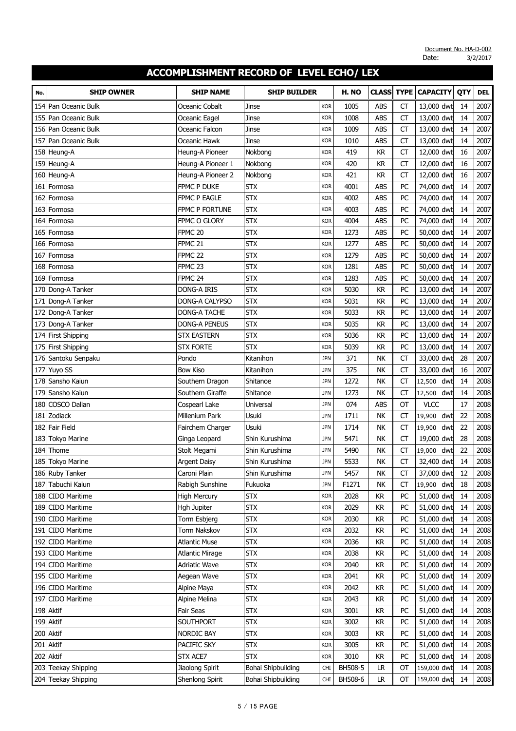| No. | <b>SHIP OWNER</b>    | <b>SHIP NAME</b>       | <b>SHIP BUILDER</b> |            | H. NO   | <b>CLASS</b> | <b>TYPE</b> | <b>CAPACITY</b> | QTY | <b>DEL</b> |
|-----|----------------------|------------------------|---------------------|------------|---------|--------------|-------------|-----------------|-----|------------|
| 154 | Pan Oceanic Bulk     | Oceanic Cobalt         | Jinse               | <b>KOR</b> | 1005    | <b>ABS</b>   | СT          | 13,000 dwt      | 14  | 2007       |
| 155 | Pan Oceanic Bulk     | Oceanic Eagel          | Jinse               | <b>KOR</b> | 1008    | <b>ABS</b>   | <b>CT</b>   | 13,000 dwt      | 14  | 2007       |
| 156 | Pan Oceanic Bulk     | Oceanic Falcon         | Jinse               | <b>KOR</b> | 1009    | <b>ABS</b>   | <b>CT</b>   | 13,000 dwt      | 14  | 2007       |
| 157 | lPan Oceanic Bulk    | Oceanic Hawk           | Jinse               | <b>KOR</b> | 1010    | <b>ABS</b>   | CT          | 13,000 dwt      | 14  | 2007       |
|     | 158 Heung-A          | Heung-A Pioneer        | Nokbong             | <b>KOR</b> | 419     | <b>KR</b>    | <b>CT</b>   | 12,000 dwt      | 16  | 2007       |
| 159 | Heung-A              | Heung-A Pioneer 1      | Nokbong             | <b>KOR</b> | 420     | <b>KR</b>    | <b>CT</b>   | 12,000 dwt      | 16  | 2007       |
|     | 160 Heung-A          | Heung-A Pioneer 2      | Nokbong             | <b>KOR</b> | 421     | <b>KR</b>    | CT          | 12,000 dwt      | 16  | 2007       |
| 161 | Formosa              | FPMC P DUKE            | <b>STX</b>          | <b>KOR</b> | 4001    | <b>ABS</b>   | PC          | 74,000 dwt      | 14  | 2007       |
|     | 162 Formosa          | <b>FPMC P EAGLE</b>    | <b>STX</b>          | <b>KOR</b> | 4002    | <b>ABS</b>   | PC          | 74,000 dwt      | 14  | 2007       |
|     | 163   Formosa        | <b>FPMC P FORTUNE</b>  | <b>STX</b>          | <b>KOR</b> | 4003    | <b>ABS</b>   | PC          | 74,000 dwt      | 14  | 2007       |
| 164 | Formosa              | FPMC O GLORY           | <b>STX</b>          | <b>KOR</b> | 4004    | <b>ABS</b>   | PC          | 74,000 dwt      | 14  | 2007       |
| 165 | Formosa              | FPMC <sub>20</sub>     | <b>STX</b>          | <b>KOR</b> | 1273    | <b>ABS</b>   | PC          | 50,000 dwt      | 14  | 2007       |
| 166 | Formosa              | FPMC <sub>21</sub>     | <b>STX</b>          | <b>KOR</b> | 1277    | <b>ABS</b>   | PC          | 50,000 dwt      | 14  | 2007       |
| 167 | Formosa              | FPMC <sub>22</sub>     | <b>STX</b>          | <b>KOR</b> | 1279    | <b>ABS</b>   | PC          | 50,000 dwt      | 14  | 2007       |
| 168 | Formosa              | FPMC <sub>23</sub>     | <b>STX</b>          | <b>KOR</b> | 1281    | <b>ABS</b>   | PC          | 50,000 dwt      | 14  | 2007       |
| 169 | Formosa              | FPMC <sub>24</sub>     | <b>STX</b>          | <b>KOR</b> | 1283    | <b>ABS</b>   | PC          | 50,000 dwt      | 14  | 2007       |
| 170 | Dong-A Tanker        | DONG-A IRIS            | <b>STX</b>          | <b>KOR</b> | 5030    | KR           | PC          | 13,000 dwt      | 14  | 2007       |
|     | 171 Dong-A Tanker    | DONG-A CALYPSO         | <b>STX</b>          | <b>KOR</b> | 5031    | <b>KR</b>    | PC          | 13,000 dwt      | 14  | 2007       |
|     | 172 Dong-A Tanker    | <b>DONG-A TACHE</b>    | <b>STX</b>          | <b>KOR</b> | 5033    | <b>KR</b>    | PC          | 13,000 dwt      | 14  | 2007       |
|     | 173 Dong-A Tanker    | <b>DONG-A PENEUS</b>   | <b>STX</b>          | <b>KOR</b> | 5035    | <b>KR</b>    | PC          | 13,000 dwt      | 14  | 2007       |
|     | 174 First Shipping   | <b>STX EASTERN</b>     | <b>STX</b>          | <b>KOR</b> | 5036    | <b>KR</b>    | PC          | 13,000 dwt      | 14  | 2007       |
|     | 175 First Shipping   | <b>STX FORTE</b>       | <b>STX</b>          | <b>KOR</b> | 5039    | <b>KR</b>    | PC          | 13,000 dwt      | 14  | 2007       |
|     | 176 Santoku Senpaku  | Pondo                  | Kitanihon           | <b>JPN</b> | 371     | <b>NK</b>    | <b>CT</b>   | 33,000 dwt      | 28  | 2007       |
|     | 177 Yuyo SS          | <b>Bow Kiso</b>        | Kitanihon           | <b>JPN</b> | 375     | <b>NK</b>    | CT          | 33,000 dwt      | 16  | 2007       |
| 178 | Sansho Kaiun         | Southern Dragon        | Shitanoe            | <b>JPN</b> | 1272    | <b>NK</b>    | <b>CT</b>   | 12,500 dwt      | 14  | 2008       |
| 179 | Sansho Kaiun         | Southern Giraffe       | Shitanoe            | <b>JPN</b> | 1273    | <b>NK</b>    | <b>CT</b>   | dwt<br>12,500   | 14  | 2008       |
| 180 | <b>COSCO Dalian</b>  | Cospearl Lake          | Universal           | <b>JPN</b> | 074     | <b>ABS</b>   | OT          | <b>VLCC</b>     | 17  | 2008       |
| 181 | Zodiack              | Millenium Park         | Usuki               | <b>JPN</b> | 1711    | NK           | <b>CT</b>   | dwt<br>19,900   | 22  | 2008       |
|     | 182 Fair Field       | Fairchem Charger       | Usuki               | <b>JPN</b> | 1714    | <b>NK</b>    | CT          | 19,900<br>dwt   | 22  | 2008       |
|     | 183 Tokyo Marine     | Ginga Leopard          | Shin Kurushima      | <b>JPN</b> | 5471    | NK           | <b>CT</b>   | 19,000 dwt      | 28  | 2008       |
| 184 | Thome                | Stolt Megami           | Shin Kurushima      | <b>JPN</b> | 5490    | <b>NK</b>    | <b>CT</b>   | 19,000<br>dwt   | 22  | 2008       |
|     | 185 Tokyo Marine     | <b>Argent Daisy</b>    | Shin Kurushima      | <b>JPN</b> | 5533    | NK           | CT          | 32,400 dwt      | 14  | 2008       |
|     | 186 Ruby Tanker      | Caroni Plain           | Shin Kurushima      | <b>JPN</b> | 5457    | NΚ           | <b>CT</b>   | 37,000 dwt      | 12  | 2008       |
|     | 187 Tabuchi Kaiun    | Rabigh Sunshine        | Fukuoka             | <b>JPN</b> | F1271   | <b>NK</b>    | <b>CT</b>   | 19,900 dwt      | 18  | 2008       |
|     | 188 CIDO Maritime    | <b>High Mercury</b>    | <b>STX</b>          | <b>KOR</b> | 2028    | <b>KR</b>    | PC          | 51,000 dwt      | 14  | 2008       |
|     | 189 CIDO Maritime    | Hgh Jupiter            | <b>STX</b>          | <b>KOR</b> | 2029    | <b>KR</b>    | PC          | 51,000 dwt      | 14  | 2008       |
|     | 190 CIDO Maritime    | Torm Esbjerg           | <b>STX</b>          | <b>KOR</b> | 2030    | KR           | PC          | 51,000 dwt      | 14  | 2008       |
|     | 191 CIDO Maritime    | Torm Nakskov           | <b>STX</b>          | <b>KOR</b> | 2032    | <b>KR</b>    | PC          | 51,000 dwt      | 14  | 2008       |
|     | 192 CIDO Maritime    | <b>Atlantic Muse</b>   | <b>STX</b>          | <b>KOR</b> | 2036    | <b>KR</b>    | PC          | 51,000 dwt      | 14  | 2008       |
|     | 193 CIDO Maritime    | <b>Atlantic Mirage</b> | <b>STX</b>          | <b>KOR</b> | 2038    | <b>KR</b>    | PC          | 51,000 dwt      | 14  | 2008       |
|     | 194 CIDO Maritime    | <b>Adriatic Wave</b>   | <b>STX</b>          | <b>KOR</b> | 2040    | <b>KR</b>    | PC          | 51,000 dwt      | 14  | 2009       |
|     | 195 CIDO Maritime    | Aegean Wave            | <b>STX</b>          | <b>KOR</b> | 2041    | <b>KR</b>    | PC          | 51,000 dwt      | 14  | 2009       |
|     | 196 CIDO Maritime    | Alpine Maya            | <b>STX</b>          | <b>KOR</b> | 2042    | <b>KR</b>    | PC          | 51,000 dwt      | 14  | 2009       |
| 197 | <b>CIDO Maritime</b> | Alpine Melina          | <b>STX</b>          | <b>KOR</b> | 2043    | <b>KR</b>    | PC          | 51,000 dwt      | 14  | 2009       |
|     | 198 Aktif            | Fair Seas              | <b>STX</b>          | <b>KOR</b> | 3001    | <b>KR</b>    | PC          | 51,000 dwt      | 14  | 2008       |
|     | 199 Aktif            | SOUTHPORT              | <b>STX</b>          | <b>KOR</b> | 3002    | <b>KR</b>    | PC          | 51,000 dwt      | 14  | 2008       |
|     | 200 Aktif            | NORDIC BAY             | <b>STX</b>          | <b>KOR</b> | 3003    | KR           | PC          | 51,000 dwt      | 14  | 2008       |
|     | 201 Aktif            | PACIFIC SKY            | <b>STX</b>          | <b>KOR</b> | 3005    | <b>KR</b>    | PC          | 51,000 dwt      | 14  | 2008       |
|     | 202 Aktif            | STX ACE7               | <b>STX</b>          | <b>KOR</b> | 3010    | <b>KR</b>    | PC          | 51,000 dwt      | 14  | 2008       |
|     | 203 Teekay Shipping  | Jiaolong Spirit        | Bohai Shipbuilding  | <b>CHI</b> | BH508-5 | LR           | OT          | 159,000 dwt     | 14  | 2008       |
|     | 204 Teekay Shipping  | Shenlong Spirit        | Bohai Shipbuilding  | CHI        | BH508-6 | LR.          | ОТ          | 159,000 dwt     | 14  | 2008       |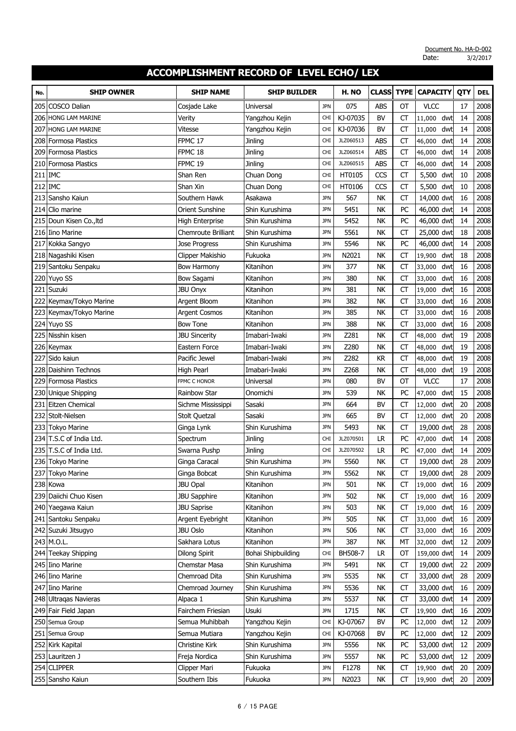| No.   | <b>SHIP OWNER</b>          | <b>SHIP NAME</b>     | <b>SHIP BUILDER</b> |            | H. NO     | <b>CLASS</b> | <b>TYPE</b> | <b>CAPACITY</b> | QTY | <b>DEL</b> |
|-------|----------------------------|----------------------|---------------------|------------|-----------|--------------|-------------|-----------------|-----|------------|
| 205   | COSCO Dalian               | Cosjade Lake         | Universal           | <b>JPN</b> | 075       | ABS          | <b>OT</b>   | <b>VLCC</b>     | 17  | 2008       |
|       | <b>206 HONG LAM MARINE</b> | Verity               | Yangzhou Kejin      | <b>CHI</b> | KJ-07035  | <b>BV</b>    | <b>CT</b>   | dwt<br>11,000   | 14  | 2008       |
| 207   | HONG LAM MARINE            | Vitesse              | Yangzhou Kejin      | <b>CHI</b> | KJ-07036  | <b>BV</b>    | <b>CT</b>   | dwt<br>11,000   | 14  | 2008       |
| 208   | <b>Formosa Plastics</b>    | FPMC <sub>17</sub>   | Jinling             | <b>CHI</b> | JLZ060513 | <b>ABS</b>   | <b>CT</b>   | 46,000<br>dwt   | 14  | 2008       |
|       | 209 Formosa Plastics       | FPMC <sub>18</sub>   | Jinling             | <b>CHI</b> | JLZ060514 | ABS          | <b>CT</b>   | 46,000<br>dwt   | 14  | 2008       |
|       | 210 Formosa Plastics       | FPMC 19              | <b>Jinling</b>      | <b>CHI</b> | JLZ060515 | ABS          | СT          | dwt<br>46,000   | 14  | 2008       |
| 211   | <b>IMC</b>                 | Shan Ren             | Chuan Dong          | <b>CHI</b> | HT0105    | CCS          | <b>CT</b>   | 5,500<br>dwt    | 10  | 2008       |
|       | 212 IMC                    | Shan Xin             | Chuan Dong          | <b>CHI</b> | HT0106    | CCS          | CT          | 5,500<br>dwt    | 10  | 2008       |
| 213   | Sansho Kaiun               | Southern Hawk        | Asakawa             | <b>JPN</b> | 567       | NK           | CT          | 14,000 dwt      | 16  | 2008       |
|       | 214 Clio marine            | Orient Sunshine      | Shin Kurushima      | <b>JPN</b> | 5451      | NK           | PC          | 46,000 dwt      | 14  | 2008       |
|       | 215 Doun Kisen Co., Itd    | High Enterprise      | Shin Kurushima      | <b>JPN</b> | 5452      | <b>NK</b>    | PC          | 46,000 dwt      | 14  | 2008       |
|       | 216 Iino Marine            | Chemroute Brilliant  | Shin Kurushima      | <b>JPN</b> | 5561      | <b>NK</b>    | СT          | 25,000 dwt      | 18  | 2008       |
| 217   | Kokka Sangyo               | <b>Jose Progress</b> | Shin Kurushima      | <b>JPN</b> | 5546      | <b>NK</b>    | PC          | 46,000 dwt      | 14  | 2008       |
|       | 218 Nagashiki Kisen        | Clipper Makishio     | Fukuoka             | <b>JPN</b> | N2021     | <b>NK</b>    | <b>CT</b>   | 19,900<br>dwt   | 18  | 2008       |
|       | 219 Santoku Senpaku        | <b>Bow Harmony</b>   | Kitanihon           | <b>JPN</b> | 377       | <b>NK</b>    | <b>CT</b>   | 33,000<br>dwt   | 16  | 2008       |
|       | 220 Yuyo SS                | <b>Bow Sagami</b>    | Kitanihon           | <b>JPN</b> | 380       | <b>NK</b>    | СT          | dwt<br>33,000   | 16  | 2008       |
| 221   | Suzuki                     | <b>JBU Onyx</b>      | Kitanihon           | <b>JPN</b> | 381       | <b>NK</b>    | <b>CT</b>   | dwt<br>19,000   | 16  | 2008       |
| 222   | Keymax/Tokyo Marine        | Argent Bloom         | Kitanihon           | <b>JPN</b> | 382       | <b>NK</b>    | CT          | 33,000<br>dwt   | 16  | 2008       |
|       | 223 Keymax/Tokyo Marine    | Argent Cosmos        | Kitanihon           | <b>JPN</b> | 385       | <b>NK</b>    | <b>CT</b>   | dwt<br>33,000   | 16  | 2008       |
|       | 224 Yuyo SS                | <b>Bow Tone</b>      | Kitanihon           | <b>JPN</b> | 388       | <b>NK</b>    | <b>CT</b>   | 33,000<br>dwt   | 16  | 2008       |
|       | 225 Nisshin kisen          | <b>JBU Sincerity</b> | Imabari-Iwaki       | <b>JPN</b> | Z281      | <b>NK</b>    | СT          | dwt<br>48,000   | 19  | 2008       |
|       | 226 Keymax                 | Eastern Force        | Imabari-Iwaki       | <b>JPN</b> | Z280      | <b>NK</b>    | <b>CT</b>   | dwt<br>48,000   | 19  | 2008       |
| 227   | Sido kaiun                 | Pacific Jewel        | Imabari-Iwaki       | <b>JPN</b> | Z282      | <b>KR</b>    | <b>CT</b>   | dwt<br>48,000   | 19  | 2008       |
| 228   | Daishinn Technos           | High Pearl           | Imabari-Iwaki       | <b>JPN</b> | Z268      | <b>NK</b>    | <b>CT</b>   | dwt<br>48,000   | 19  | 2008       |
|       | 229 Formosa Plastics       | FPMC C HONOR         | Universal           | <b>JPN</b> | 080       | BV           | OT          | <b>VLCC</b>     | 17  | 2008       |
|       | 230 Unique Shipping        | <b>Rainbow Star</b>  | Onomichi            | <b>JPN</b> | 539       | NΚ           | PC          | 47,000<br>dwt   | 15  | 2008       |
| 231   | Eitzen Chemical            | Sichme Mississippi   | Sasaki              | <b>JPN</b> | 664       | <b>BV</b>    | <b>CT</b>   | 12,000<br>dwt   | 20  | 2008       |
| 232   | Stolt-Nielsen              | <b>Stolt Quetzal</b> | Sasaki              | <b>JPN</b> | 665       | BV           | <b>CT</b>   | 12,000<br>dwt   | 20  | 2008       |
| 233   | <b>Tokyo Marine</b>        | Ginga Lynk           | Shin Kurushima      | <b>JPN</b> | 5493      | <b>NK</b>    | CT          | 19,000 dwt      | 28  | 2008       |
|       | 234 T.S.C of India Ltd.    | Spectrum             | <b>Jinling</b>      | <b>CHI</b> | JLZ070501 | <b>LR</b>    | PC          | 47,000<br>dwt   | 14  | 2008       |
| 235 I | T.S.C of India Ltd.        | Swarna Pushp         | <b>Jinling</b>      | <b>CHI</b> | JLZ070502 | <b>LR</b>    | PC          | dwt<br>47,000   | 14  | 2009       |
|       | 236 Tokyo Marine           | Ginga Caracal        | Shin Kurushima      | <b>JPN</b> | 5560      | <b>NK</b>    | <b>CT</b>   | 19,000 dwt      | 28  | 2009       |
|       | 237 Tokyo Marine           | Ginga Bobcat         | Shin Kurushima      | <b>JPN</b> | 5562      | NK           | СT          | 19,000 dwt      | 28  | 2009       |
|       | 238 Kowa                   | <b>JBU Opal</b>      | Kitanihon           | <b>JPN</b> | 501       | NK           | <b>CT</b>   | 19,000 dwt      | 16  | 2009       |
|       | 239 Daiichi Chuo Kisen     | <b>JBU Sapphire</b>  | Kitanihon           | <b>JPN</b> | 502       | NK           | <b>CT</b>   | 19,000<br>dwt   | 16  | 2009       |
|       | 240 Yaegawa Kaiun          | <b>JBU Saprise</b>   | Kitanihon           | <b>JPN</b> | 503       | NΚ           | СT          | 19,000<br>dwt   | 16  | 2009       |
| 241   | Santoku Senpaku            | Argent Eyebright     | Kitanihon           | <b>JPN</b> | 505       | NΚ           | CT          | 33,000<br>dwt   | 16  | 2009       |
|       | 242 Suzuki Jitsugyo        | <b>JBU Oslo</b>      | Kitanihon           | <b>JPN</b> | 506       | NΚ           | CT          | 33,000<br>dwt   | 16  | 2009       |
|       | 243 M.O.L.                 | Sakhara Lotus        | Kitanihon           | <b>JPN</b> | 387       | <b>NK</b>    | MT          | 32,000<br>dwt   | 12  | 2009       |
|       | 244 Teekay Shipping        | <b>Dilong Spirit</b> | Bohai Shipbuilding  | <b>CHI</b> | BH508-7   | LR.          | OT          | 159,000 dwt     | 14  | 2009       |
|       | 245 Iino Marine            | Chemstar Masa        | Shin Kurushima      | <b>JPN</b> | 5491      | NΚ           | СT          | 19,000 dwt      | 22  | 2009       |
|       | 246 Iino Marine            | Chemroad Dita        | Shin Kurushima      | <b>JPN</b> | 5535      | NΚ           | <b>CT</b>   | 33,000 dwt      | 28  | 2009       |
|       | 247 Iino Marine            | Chemroad Journey     | Shin Kurushima      | <b>JPN</b> | 5536      | NΚ           | СT          | 33,000 dwt      | 16  | 2009       |
|       | 248 Ultragas Navieras      | Alpaca 1             | Shin Kurushima      | <b>JPN</b> | 5537      | NK           | <b>CT</b>   | 33,000 dwt      | 14  | 2009       |
|       | 249 Fair Field Japan       | Fairchem Friesian    | Usuki               | <b>JPN</b> | 1715      | NK           | CT          | 19,900<br>dwt   | 16  | 2009       |
|       | 250 Semua Group            | Semua Muhibbah       | Yangzhou Kejin      | <b>CHI</b> | KJ-07067  | <b>BV</b>    | PC          | 12,000<br>dwt   | 12  | 2009       |
| 251   | Semua Group                | Semua Mutiara        | Yangzhou Kejin      | <b>CHI</b> | KJ-07068  | BV           | PC          | 12,000<br>dwt   | 12  | 2009       |
|       | 252 Kirk Kapital           | Christine Kirk       | Shin Kurushima      | <b>JPN</b> | 5556      | NΚ           | PC          | 53,000 dwt      | 12  | 2009       |
|       | 253 Lauritzen J            | Freja Nordica        | Shin Kurushima      | <b>JPN</b> | 5557      | NK           | PC          | 53,000 dwt      | 12  | 2009       |
|       | 254 CLIPPER                | Clipper Mari         | Fukuoka             | <b>JPN</b> | F1278     | NK           | СT          | 19,900<br>dwt   | 20  | 2009       |
|       | 255 Sansho Kaiun           | Southern Ibis        | Fukuoka             | <b>JPN</b> | N2023     | NΚ           | СT          | 19,900 dwt      | 20  | 2009       |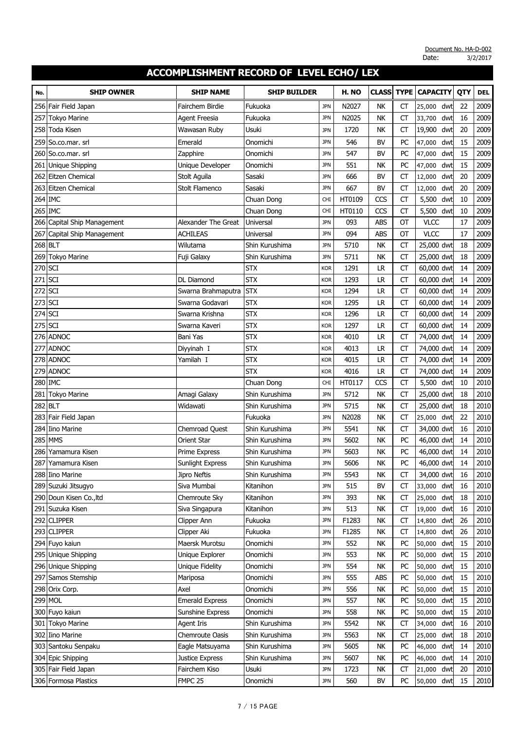| No.       | <b>SHIP OWNER</b>       | <b>SHIP NAME</b>       | <b>SHIP BUILDER</b> |            | H. NO  | <b>CLASS</b> | <b>TYPE</b> | <b>CAPACITY</b> | QTY | <b>DEL</b> |
|-----------|-------------------------|------------------------|---------------------|------------|--------|--------------|-------------|-----------------|-----|------------|
| 256       | Fair Field Japan        | Fairchem Birdie        | Fukuoka             | <b>JPN</b> | N2027  | <b>NK</b>    | СT          | 25,000<br>dwt   | 22  | 2009       |
| 257       | <b>Tokyo Marine</b>     | <b>Agent Freesia</b>   | Fukuoka             | <b>JPN</b> | N2025  | NΚ           | CT          | 33,700<br>dwt   | 16  | 2009       |
| 258       | Toda Kisen              | Wawasan Ruby           | Usuki               | <b>JPN</b> | 1720   | <b>NK</b>    | <b>CT</b>   | 19,900<br>dwt   | 20  | 2009       |
| 259       | So.co.mar. srl          | Emerald                | Onomichi            | <b>JPN</b> | 546    | <b>BV</b>    | PC          | 47,000<br>dwt   | 15  | 2009       |
|           | 260   So.co.mar. srl    | Zapphire               | Onomichi            | <b>JPN</b> | 547    | BV           | PC          | dwt<br>47,000   | 15  | 2009       |
| 261       | <b>Unique Shipping</b>  | Unique Developer       | Onomichi            | <b>JPN</b> | 551    | <b>NK</b>    | PC          | 47,000<br>dwt   | 15  | 2009       |
|           | 262 Eitzen Chemical     | Stolt Aguila           | Sasaki              | <b>JPN</b> | 666    | BV           | <b>CT</b>   | 12,000<br>dwt   | 20  | 2009       |
|           | 263 Eitzen Chemical     | Stolt Flamenco         | Sasaki              | <b>JPN</b> | 667    | BV           | CT          | 12,000<br>dwt   | 20  | 2009       |
|           | 264 IMC                 |                        | Chuan Dong          | <b>CHI</b> | HT0109 | CCS          | <b>CT</b>   | dwt<br>5,500    | 10  | 2009       |
|           | 265 IMC                 |                        | Chuan Dong          | <b>CHI</b> | HT0110 | CCS          | CT          | 5,500<br>dwt    | 10  | 2009       |
| 266       | Capital Ship Management | Alexander The Great    | Universal           | <b>JPN</b> | 093    | <b>ABS</b>   | OT          | <b>VLCC</b>     | 17  | 2009       |
| 267       | Capital Ship Management | <b>ACHILEAS</b>        | Universal           | <b>JPN</b> | 094    | <b>ABS</b>   | OT          | <b>VLCC</b>     | 17  | 2009       |
|           | 268 BLT                 | Wilutama               | Shin Kurushima      | <b>JPN</b> | 5710   | <b>NK</b>    | <b>CT</b>   | 25,000 dwt      | 18  | 2009       |
| 269       | <b>Tokyo Marine</b>     | Fuji Galaxy            | Shin Kurushima      | <b>JPN</b> | 5711   | <b>NK</b>    | <b>CT</b>   | 25,000 dwt      | 18  | 2009       |
| 270       | <b>SCI</b>              |                        | <b>STX</b>          | <b>KOR</b> | 1291   | LR           | CT          | 60,000 dwt      | 14  | 2009       |
| $271$ SCI |                         | <b>DL Diamond</b>      | <b>STX</b>          | <b>KOR</b> | 1293   | LR           | CT          | 60,000 dwt      | 14  | 2009       |
| 272 SCI   |                         | Swarna Brahmaputra     | <b>STX</b>          | <b>KOR</b> | 1294   | LR           | <b>CT</b>   | 60,000 dwt      | 14  | 2009       |
| 273 SCI   |                         | Swarna Godavari        | <b>STX</b>          | <b>KOR</b> | 1295   | <b>LR</b>    | <b>CT</b>   | 60,000 dwt      | 14  | 2009       |
| 274       | <b>SCI</b>              | Swarna Krishna         | <b>STX</b>          | <b>KOR</b> | 1296   | <b>LR</b>    | <b>CT</b>   | 60,000 dwt      | 14  | 2009       |
| 275 SCI   |                         | Swarna Kaveri          | <b>STX</b>          | <b>KOR</b> | 1297   | LR           | <b>CT</b>   | 60,000 dwt      | 14  | 2009       |
|           | 276 ADNOC               | Bani Yas               | <b>STX</b>          | <b>KOR</b> | 4010   | <b>LR</b>    | <b>CT</b>   | 74,000 dwt      | 14  | 2009       |
|           | 277 ADNOC               | Diyyinah I             | <b>STX</b>          | <b>KOR</b> | 4013   | LR           | <b>CT</b>   | 74,000 dwt      | 14  | 2009       |
|           | 278 ADNOC               | Yamilah I              | <b>STX</b>          | <b>KOR</b> | 4015   | <b>LR</b>    | <b>CT</b>   | 74,000 dwt      | 14  | 2009       |
| 279       | <b>ADNOC</b>            |                        | <b>STX</b>          | <b>KOR</b> | 4016   | <b>LR</b>    | <b>CT</b>   | 74,000 dwt      | 14  | 2009       |
|           | 280 IMC                 |                        | Chuan Dong          | <b>CHI</b> | HT0117 | CCS          | <b>CT</b>   | 5,500 dwt       | 10  | 2010       |
| 281       | <b>Tokyo Marine</b>     | Amagi Galaxy           | Shin Kurushima      | <b>JPN</b> | 5712   | <b>NK</b>    | <b>CT</b>   | 25,000 dwt      | 18  | 2010       |
| 282 BLT   |                         | Widawati               | Shin Kurushima      | <b>JPN</b> | 5715   | <b>NK</b>    | <b>CT</b>   | 25,000 dwt      | 18  | 2010       |
| 283       | Fair Field Japan        |                        | Fukuoka             | <b>JPN</b> | N2028  | <b>NK</b>    | CT          | 25,000<br>dwt   | 22  | 2010       |
| 284       | Iino Marine             | Chemroad Quest         | Shin Kurushima      | <b>JPN</b> | 5541   | <b>NK</b>    | <b>CT</b>   | 34,000 dwt      | 16  | 2010       |
| 285       | <b>MMS</b>              | <b>Orient Star</b>     | Shin Kurushima      | <b>JPN</b> | 5602   | NΚ           | PC          | 46,000 dwt      | 14  | 2010       |
| 286       | Yamamura Kisen          | Prime Express          | Shin Kurushima      | <b>JPN</b> | 5603   | <b>NK</b>    | PC          | 46,000 dwt      | 14  | 2010       |
|           | 287 Yamamura Kisen      | Sunlight Express       | Shin Kurushima      | <b>JPN</b> | 5606   | <b>NK</b>    | PC          | 46,000 dwt      | 14  | 2010       |
|           | 288 Iino Marine         | Jipro Neftis           | Shin Kurushima      | <b>JPN</b> | 5543   | NΚ           | CT          | 34,000 dwt      | 16  | 2010       |
|           | 289 Suzuki Jitsugyo     | Siva Mumbai            | Kitanihon           | <b>JPN</b> | 515    | BV           | <b>CT</b>   | 33,000 dwt      | 16  | 2010       |
|           | 290 Doun Kisen Co., Itd | Chemroute Sky          | Kitanihon           | <b>JPN</b> | 393    | NΚ           | CT          | 25,000 dwt      | 18  | 2010       |
|           | 291 Suzuka Kisen        | Siva Singapura         | Kitanihon           | <b>JPN</b> | 513    | NΚ           | CT          | 19,000<br>dwt   | 16  | 2010       |
|           | 292 CLIPPER             | Clipper Ann            | Fukuoka             | <b>JPN</b> | F1283  | NK           | СT          | 14,800<br>dwt   | 26  | 2010       |
|           | 293 CLIPPER             | Clipper Aki            | Fukuoka             | <b>JPN</b> | F1285  | NΚ           | СT          | 14,800<br>dwt   | 26  | 2010       |
|           | 294 Fuyo kaiun          | Maersk Murotsu         | Onomichi            | <b>JPN</b> | 552    | NΚ           | PC          | 50,000<br>dwt   | 15  | 2010       |
|           | 295 Unique Shipping     | Unique Explorer        | Onomichi            | <b>JPN</b> | 553    | NΚ           | PC          | 50,000<br>dwt   | 15  | 2010       |
|           | 296 Unique Shipping     | Unique Fidelity        | Onomichi            | <b>JPN</b> | 554    | NΚ           | PC          | 50,000<br>dwt   | 15  | 2010       |
|           | 297 Samos Stemship      | Mariposa               | Onomichi            | <b>JPN</b> | 555    | ABS          | PC          | 50,000<br>dwt   | 15  | 2010       |
|           | 298 Orix Corp.          | Axel                   | Onomichi            | <b>JPN</b> | 556    | NK           | PC          | 50,000<br>dwt   | 15  | 2010       |
|           | <b>299 MOL</b>          | <b>Emerald Express</b> | Onomichi            | <b>JPN</b> | 557    | NΚ           | PC          | 50,000<br>dwt   | 15  | 2010       |
|           | 300 Fuyo kaiun          | Sunshine Express       | Onomichi            | <b>JPN</b> | 558    | NK           | PC          | 50,000<br>dwt   | 15  | 2010       |
|           | 301 Tokyo Marine        | <b>Agent Iris</b>      | Shin Kurushima      | <b>JPN</b> | 5542   | NK           | CT          | 34,000<br>dwt   | 16  | 2010       |
|           | 302 Iino Marine         | Chemroute Oasis        | Shin Kurushima      | <b>JPN</b> | 5563   | NK           | СT          | 25,000<br>dwt   | 18  | 2010       |
|           | 303 Santoku Senpaku     | Eagle Matsuyama        | Shin Kurushima      | <b>JPN</b> | 5605   | NK           | PC          | 46,000<br>dwt   | 14  | 2010       |
|           | 304 Epic Shipping       | Justice Express        | Shin Kurushima      | <b>JPN</b> | 5607   | NΚ           | PC          | 46,000<br>dwt   | 14  | 2010       |
|           | 305 Fair Field Japan    | Fairchem Kiso          | Usuki               | <b>JPN</b> | 1723   | NΚ           | СT          | 21,000<br>dwt   | 20  | 2010       |
|           | 306 Formosa Plastics    | FMPC 25                | Onomichi            | <b>JPN</b> | 560    | <b>BV</b>    | PC          | 50,000<br>dwt   | 15  | 2010       |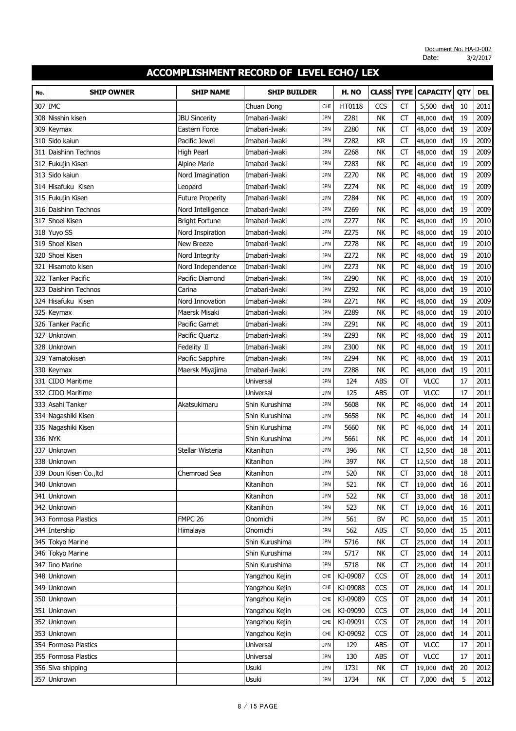| No. | <b>SHIP OWNER</b>               | <b>SHIP NAME</b>                             | <b>SHIP BUILDER</b>            |                          | H. NO        | <b>CLASS</b>           | <b>TYPE</b>            | <b>CAPACITY</b>      | QTY      | <b>DEL</b>   |
|-----|---------------------------------|----------------------------------------------|--------------------------------|--------------------------|--------------|------------------------|------------------------|----------------------|----------|--------------|
|     |                                 |                                              |                                |                          |              |                        |                        |                      |          |              |
| 307 | <b>IMC</b>                      |                                              | Chuan Dong                     | <b>CHI</b>               | HT0118       | CCS                    | СT                     | 5,500<br>dwt         | 10       | 2011<br>2009 |
| 308 | Nisshin kisen                   | <b>JBU Sincerity</b><br><b>Eastern Force</b> | Imabari-Iwaki<br>Imabari-Iwaki | <b>JPN</b><br><b>JPN</b> | Z281<br>Z280 | NK<br><b>NK</b>        | <b>CT</b><br><b>CT</b> | dwt<br>48,000<br>dwt | 19<br>19 | 2009         |
| 309 | Keymax<br>Sido kaiun            | Pacific Jewel                                | Imabari-Iwaki                  |                          | Z282         | <b>KR</b>              | <b>CT</b>              | 48,000               | 19       | 2009         |
| 310 |                                 |                                              |                                | <b>JPN</b><br><b>JPN</b> |              |                        |                        | dwt<br>48,000        |          |              |
| 311 | Daishinn Technos                | High Pearl                                   | Imabari-Iwaki                  | <b>JPN</b>               | Z268<br>Z283 | <b>NK</b><br><b>NK</b> | <b>CT</b><br>PC        | dwt<br>48,000<br>dwt | 19<br>19 | 2009<br>2009 |
|     | 312 Fukujin Kisen<br>Sido kaiun | <b>Alpine Marie</b><br>Nord Imagination      | Imabari-Iwaki<br>Imabari-Iwaki | <b>JPN</b>               | Z270         | NK                     | PC                     | 48,000<br>dwt        | 19       | 2009         |
| 313 | 314 Hisafuku Kisen              | Leopard                                      | Imabari-Iwaki                  | <b>JPN</b>               | Z274         | <b>NK</b>              | PC                     | 48,000<br>dwt        | 19       | 2009         |
|     |                                 |                                              |                                |                          |              |                        |                        | 48,000               |          |              |
|     | 315 Fukujin Kisen               | <b>Future Properity</b>                      | Imabari-Iwaki                  | <b>JPN</b>               | Z284         | <b>NK</b>              | PC                     | 48,000<br>dwt        | 19       | 2009         |
| 316 | Daishinn Technos                | Nord Intelligence                            | Imabari-Iwaki                  | <b>JPN</b>               | Z269         | <b>NK</b>              | PC                     | dwt<br>48,000        | 19       | 2009<br>2010 |
| 317 | Shoei Kisen                     | <b>Bright Fortune</b>                        | Imabari-Iwaki                  | <b>JPN</b>               | Z277         | <b>NK</b>              | PC                     | dwt<br>48,000        | 19       |              |
|     | 318 Yuyo SS<br>319 Shoei Kisen  | Nord Inspiration                             | Imabari-Iwaki                  | <b>JPN</b>               | Z275<br>Z278 | NK                     | PC                     | 48,000<br>dwt        | 19       | 2010<br>2010 |
|     |                                 | New Breeze                                   | Imabari-Iwaki                  | <b>JPN</b>               |              | NK                     | PC                     | dwt<br>48,000        | 19       |              |
|     | 320 Shoei Kisen                 | Nord Integrity                               | Imabari-Iwaki                  | <b>JPN</b>               | Z272         | NΚ                     | PC                     | 48,000<br>dwt        | 19       | 2010         |
| 321 | Hisamoto kisen                  | Nord Independence                            | Imabari-Iwaki                  | <b>JPN</b>               | Z273         | <b>NK</b>              | PC                     | dwt<br>48,000        | 19       | 2010         |
| 322 | <b>Tanker Pacific</b>           | Pacific Diamond                              | Imabari-Iwaki                  | <b>JPN</b>               | Z290         | <b>NK</b>              | PC                     | 48,000<br>dwt        | 19       | 2010         |
| 323 | Daishinn Technos                | Carina                                       | Imabari-Iwaki                  | <b>JPN</b>               | Z292         | <b>NK</b>              | PC                     | dwt<br>48,000        | 19       | 2010         |
| 324 | Hisafuku Kisen                  | Nord Innovation                              | Imabari-Iwaki                  | <b>JPN</b>               | Z271         | <b>NK</b>              | PC                     | dwt<br>48,000        | 19       | 2009         |
|     | 325 Keymax                      | Maersk Misaki                                | Imabari-Iwaki                  | <b>JPN</b>               | Z289         | <b>NK</b>              | PC                     | 48,000<br>dwt        | 19       | 2010         |
| 326 | <b>Tanker Pacific</b>           | Pacific Garnet                               | Imabari-Iwaki                  | <b>JPN</b>               | Z291         | <b>NK</b>              | PC                     | dwt<br>48,000        | 19       | 2011         |
| 327 | Unknown                         | Pacific Quartz                               | Imabari-Iwaki                  | <b>JPN</b>               | Z293         | <b>NK</b>              | PC                     | dwt<br>48,000        | 19       | 2011         |
| 328 | Unknown                         | Fedelity II                                  | Imabari-Iwaki                  | <b>JPN</b>               | Z300         | NK                     | PC                     | 48,000<br>dwt        | 19       | 2011         |
| 329 | Yamatokisen                     | Pacific Sapphire                             | Imabari-Iwaki                  | <b>JPN</b>               | Z294         | <b>NK</b>              | PC                     | dwt<br>48,000        | 19       | 2011         |
|     | 330 Keymax                      | Maersk Miyajima                              | Imabari-Iwaki                  | <b>JPN</b>               | Z288         | NK                     | PC                     | 48,000<br>dwt        | 19       | 2011         |
| 331 | <b>CIDO Maritime</b>            |                                              | Universal                      | <b>JPN</b>               | 124          | <b>ABS</b>             | OT                     | <b>VLCC</b>          | 17       | 2011         |
| 332 | CIDO Maritime                   |                                              | Universal                      | <b>JPN</b>               | 125          | ABS                    | OT                     | <b>VLCC</b>          | 17       | 2011         |
| 333 | Asahi Tanker                    | Akatsukimaru                                 | Shin Kurushima                 | <b>JPN</b>               | 5608         | <b>NK</b>              | PC                     | 46,000<br>dwt        | 14       | 2011         |
|     | 334 Nagashiki Kisen             |                                              | Shin Kurushima                 | <b>JPN</b>               | 5658         | NK                     | PC                     | dwt<br>46,000        | 14       | 2011         |
|     | 335 Nagashiki Kisen             |                                              | Shin Kurushima                 | <b>JPN</b>               | 5660         | <b>NK</b>              | PC                     | 46,000<br>dwt        | 14       | 2011         |
|     | 336 NYK                         |                                              | Shin Kurushima                 | <b>JPN</b>               | 5661         | <b>NK</b>              | PC                     | 46,000<br>dwt        | 14       | 2011         |
| 337 | Unknown                         | Stellar Wisteria                             | Kitanihon                      | <b>JPN</b>               | 396          | <b>NK</b>              | <b>CT</b>              | dwt<br>12,500        | 18       | 2011         |
|     | 338 Unknown                     |                                              | Kitanihon                      | <b>JPN</b>               | 397          | NK                     | <b>CT</b>              | 12,500<br>dwt        | 18       | 2011         |
|     | 339 Doun Kisen Co., Itd         | Chemroad Sea                                 | Kitanihon                      | <b>JPN</b>               | 520          | NΚ                     | СT                     | 33,000 dwt           | 18       | 2011         |
|     | 340 Unknown                     |                                              | Kitanihon                      | <b>JPN</b>               | 521          | <b>NK</b>              | <b>CT</b>              | 19,000 dwt           | 16       | 2011         |
|     | 341 Unknown                     |                                              | Kitanihon                      | <b>JPN</b>               | 522          | NΚ                     | <b>CT</b>              | 33,000 dwt           | 18       | 2011         |
|     | 342 Unknown                     |                                              | Kitanihon                      | <b>JPN</b>               | 523          | NK                     | CT                     | 19,000<br>dwt        | 16       | 2011         |
|     | 343 Formosa Plastics            | FMPC <sub>26</sub>                           | Onomichi                       | <b>JPN</b>               | 561          | <b>BV</b>              | PC                     | 50,000<br>dwt        | 15       | 2011         |
|     | 344 Intership                   | Himalaya                                     | Onomichi                       | <b>JPN</b>               | 562          | ABS                    | <b>CT</b>              | 50,000<br>dwt        | 15       | 2011         |
|     | 345 Tokyo Marine                |                                              | Shin Kurushima                 | <b>JPN</b>               | 5716         | NK                     | CT                     | 25,000<br>dwt        | 14       | 2011         |
|     | 346 Tokyo Marine                |                                              | Shin Kurushima                 | <b>JPN</b>               | 5717         | NΚ                     | <b>CT</b>              | 25,000 dwt           | 14       | 2011         |
|     | 347 Iino Marine                 |                                              | Shin Kurushima                 | <b>JPN</b>               | 5718         | NK                     | <b>CT</b>              | 25,000<br>dwt        | 14       | 2011         |
|     | 348 Unknown                     |                                              | Yangzhou Kejin                 | <b>CHI</b>               | KJ-09087     | CCS                    | OT                     | 28,000<br>dwt        | 14       | 2011         |
|     | 349 Unknown                     |                                              | Yangzhou Kejin                 | <b>CHI</b>               | KJ-09088     | CCS                    | OT                     | 28,000<br>dwt        | 14       | 2011         |
|     | 350 Unknown                     |                                              | Yangzhou Kejin                 | <b>CHI</b>               | KJ-09089     | CCS                    | OT                     | 28,000 dwt           | 14       | 2011         |
|     | 351 Unknown                     |                                              | Yangzhou Kejin                 | <b>CHI</b>               | KJ-09090     | CCS                    | OT                     | 28,000 dwt           | 14       | 2011         |
|     | 352 Unknown                     |                                              | Yangzhou Kejin                 | <b>CHI</b>               | KJ-09091     | CCS                    | OT                     | 28,000 dwt           | 14       | 2011         |
|     | 353 Unknown                     |                                              | Yangzhou Kejin                 | <b>CHI</b>               | KJ-09092     | CCS                    | ОТ                     | 28,000 dwt           | 14       | 2011         |
|     | 354 Formosa Plastics            |                                              | Universal                      | <b>JPN</b>               | 129          | ABS                    | OT                     | <b>VLCC</b>          | 17       | 2011         |
|     | 355 Formosa Plastics            |                                              | Universal                      | <b>JPN</b>               | 130          | ABS                    | OT                     | <b>VLCC</b>          | 17       | 2011         |
|     | 356 Siva shipping               |                                              | Usuki                          | <b>JPN</b>               | 1731         | NΚ                     | <b>CT</b>              | 19,000 dwt           | 20       | 2012         |
|     | 357 Unknown                     |                                              | Usuki                          | <b>JPN</b>               | 1734         | NK                     | CT                     | 7,000 dwt            | 5        | 2012         |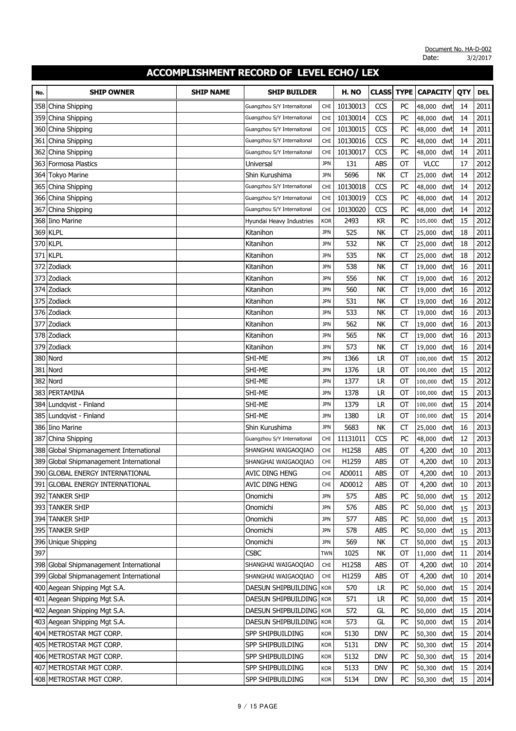| No. | <b>SHIP OWNER</b>                       | <b>SHIP NAME</b> | <b>SHIP BUILDER</b>         |            | H. NO    | <b>CLASS</b> | <b>TYPE</b> | <b>CAPACITY</b> |     | QTY | <b>DEL</b> |
|-----|-----------------------------------------|------------------|-----------------------------|------------|----------|--------------|-------------|-----------------|-----|-----|------------|
| 358 | China Shipping                          |                  | Guangzhou S/Y Internaitonal | CHI        | 10130013 | CCS          | PC          | 48,000          | dwt | 14  | 2011       |
| 359 | China Shipping                          |                  | Guangzhou S/Y Internaitonal | <b>CHI</b> | 10130014 | CCS          | PC          | 48,000          | dwt | 14  | 2011       |
| 360 | China Shipping                          |                  | Guangzhou S/Y Internaitonal | <b>CHI</b> | 10130015 | CCS          | PC          | 48,000          | dwt | 14  | 2011       |
| 361 | China Shipping                          |                  | Guangzhou S/Y Internaitonal | <b>CHI</b> | 10130016 | CCS          | PC          | 48,000          | dwt | 14  | 2011       |
| 362 | China Shipping                          |                  | Guangzhou S/Y Internaitonal | CHI        | 10130017 | CCS          | PC          | 48,000          | dwt | 14  | 2011       |
| 363 | Formosa Plastics                        |                  | Universal                   | <b>JPN</b> | 131      | ABS          | OT          | <b>VLCC</b>     |     | 17  | 2012       |
| 364 | <b>Tokyo Marine</b>                     |                  | Shin Kurushima              | <b>JPN</b> | 5696     | <b>NK</b>    | CT          | 25,000          | dwt | 14  | 2012       |
| 365 | China Shipping                          |                  | Guangzhou S/Y Internaitonal | <b>CHI</b> | 10130018 | CCS          | PC          | 48,000          | dwt | 14  | 2012       |
|     | 366 China Shipping                      |                  | Guangzhou S/Y Internaitonal | <b>CHI</b> | 10130019 | CCS          | PC          | 48,000          | dwt | 14  | 2012       |
| 367 | China Shipping                          |                  | Guangzhou S/Y Internaitonal | <b>CHI</b> | 10130020 | CCS          | PC          | 48,000          | dwt | 14  | 2012       |
| 368 | <b>Iino Marine</b>                      |                  | Hyundai Heavy Industries    | <b>KOR</b> | 2493     | <b>KR</b>    | PC          | 105,000         | dwt | 15  | 2012       |
| 369 | <b>KLPL</b>                             |                  | Kitanihon                   | <b>JPN</b> | 525      | <b>NK</b>    | СT          | 25,000          | dwt | 18  | 2011       |
|     | 370 KLPL                                |                  | Kitanihon                   | <b>JPN</b> | 532      | <b>NK</b>    | <b>CT</b>   | 25,000          | dwt | 18  | 2012       |
|     | <b>371 KLPL</b>                         |                  | Kitanihon                   | <b>JPN</b> | 535      | NΚ           | СT          | 25,000          | dwt | 18  | 2012       |
| 372 | Zodiack                                 |                  | Kitanihon                   | <b>JPN</b> | 538      | <b>NK</b>    | <b>CT</b>   | 19,000          | dwt | 16  | 2011       |
| 373 | Zodiack                                 |                  | Kitanihon                   | <b>JPN</b> | 556      | <b>NK</b>    | СT          | 19,000          | dwt | 16  | 2012       |
| 374 | Zodiack                                 |                  | Kitanihon                   | <b>JPN</b> | 560      | <b>NK</b>    | CT          | 19,000          | dwt | 16  | 2012       |
|     | 375 Zodiack                             |                  | Kitanihon                   | <b>JPN</b> | 531      | <b>NK</b>    | CT          | 19,000          | dwt | 16  | 2012       |
|     | 376 Zodiack                             |                  | Kitanihon                   | <b>JPN</b> | 533      | <b>NK</b>    | CT          | 19,000          | dwt | 16  | 2013       |
| 377 | Zodiack                                 |                  | Kitanihon                   | <b>JPN</b> | 562      | <b>NK</b>    | СT          | 19,000          | dwt | 16  | 2013       |
| 378 | Zodiack                                 |                  | Kitanihon                   | <b>JPN</b> | 565      | NK           | <b>CT</b>   | 19,000          | dwt | 16  | 2013       |
| 379 | Zodiack                                 |                  | Kitanihon                   | <b>JPN</b> | 573      | <b>NK</b>    | СT          | 19,000          | dwt | 16  | 2014       |
| 380 | Nord                                    |                  | SHI-ME                      | <b>JPN</b> | 1366     | <b>LR</b>    | OT          | 100,000         | dwt | 15  | 2012       |
|     | 381 Nord                                |                  | SHI-ME                      | <b>JPN</b> | 1376     | LR           | OT          | 100,000         | dwt | 15  | 2012       |
| 382 | Nord                                    |                  | Shi-me                      | <b>JPN</b> | 1377     | <b>LR</b>    | ОТ          | 100,000         | dwt | 15  | 2012       |
| 383 | PERTAMINA                               |                  | SHI-ME                      | <b>JPN</b> | 1378     | LR           | OT          | 100,000         | dwt | 15  | 2013       |
| 384 | Lundqvist - Finland                     |                  | SHI-ME                      | <b>JPN</b> | 1379     | LR           | OT          | 100,000         | dwt | 15  | 2014       |
| 385 | Lundqvist - Finland                     |                  | SHI-ME                      | <b>JPN</b> | 1380     | LR           | OT          | 100,000         | dwt | 15  | 2014       |
|     | 386 Iino Marine                         |                  | Shin Kurushima              | <b>JPN</b> | 5683     | <b>NK</b>    | СT          | 25,000          | dwt | 16  | 2013       |
| 387 | China Shipping                          |                  | Guangzhou S/Y Internaitonal | <b>CHI</b> | 11131011 | CCS          | PC          | 48,000          | dwt | 12  | 2013       |
| 388 | Global Shipmanagement International     |                  | SHANGHAI WAIGAOQIAO         | <b>CHI</b> | H1258    | <b>ABS</b>   | OT          | 4,200           | dwt | 10  | 2013       |
| 389 | Global Shipmanagement International     |                  | SHANGHAI WAIGAOQIAO         | CHI        | H1259    | <b>ABS</b>   | OT          | 4,200           | dwt | 10  | 2013       |
|     | 390 GLOBAL ENERGY INTERNATIONAL         |                  | <b>AVIC DING HENG</b>       | CHI        | AD0011   | ABS          | ОT          | 4,200 dwt       |     | 10  | 2013       |
|     | 391 GLOBAL ENERGY INTERNATIONAL         |                  | <b>AVIC DING HENG</b>       | <b>CHI</b> | AD0012   | ABS          | <b>OT</b>   | 4,200 dwt       |     | 10  | 2013       |
|     | 392 TANKER SHIP                         |                  | Onomichi                    | <b>JPN</b> | 575      | ABS          | PC          | 50,000 dwt      |     | 15  | 2012       |
|     | 393 TANKER SHIP                         |                  | Onomichi                    | <b>JPN</b> | 576      | ABS          | PC          | 50,000          | dwt | 15  | 2013       |
|     | 394 TANKER SHIP                         |                  | Onomichi                    | <b>JPN</b> | 577      | ABS          | PC          | 50,000          | dwt | 15  | 2013       |
|     | 395 TANKER SHIP                         |                  | Onomichi                    | <b>JPN</b> | 578      | <b>ABS</b>   | PC          | 50,000          | dwt | 15  | 2013       |
|     | 396 Unique Shipping                     |                  | Onomichi                    | <b>JPN</b> | 569      | NΚ           | СT          | 50,000          | dwt | 15  | 2013       |
| 397 |                                         |                  | <b>CSBC</b>                 | TWN        | 1025     | NK           | ОТ          | 11,000 dwt      |     | 11  | 2014       |
|     | 398 Global Shipmanagement International |                  | SHANGHAI WAIGAOQIAO         | CHI        | H1258    | ABS          | ОТ          | 4,200           | dwt | 10  | 2014       |
|     | 399 Global Shipmanagement International |                  | SHANGHAI WAIGAOQIAO         | CHI        | H1259    | ABS          | ОТ          | 4,200           | dwt | 10  | 2014       |
|     | 400 Aegean Shipping Mgt S.A.            |                  | DAESUN SHIPBUILDING   KOR   |            | 570      | LR           | PC          | 50,000          | dwt | 15  | 2014       |
|     | 401 Aegean Shipping Mgt S.A.            |                  | DAESUN SHIPBUILDING   KOR   |            | 571      | <b>LR</b>    | PC          | 50,000 dwt      |     | 15  | 2014       |
|     | 402 Aegean Shipping Mgt S.A.            |                  | DAESUN SHIPBUILDING KOR     |            | 572      | GL           | PC          | 50,000 dwt      |     | 15  | 2014       |
|     | 403 Aegean Shipping Mgt S.A.            |                  | DAESUN SHIPBUILDING         | <b>KOR</b> | 573      | GL           | PC          | 50,000 dwt      |     | 15  | 2014       |
|     | 404 METROSTAR MGT CORP.                 |                  | SPP SHIPBUILDING            | <b>KOR</b> | 5130     | <b>DNV</b>   | PC          | 50,300          | dwt | 15  | 2014       |
|     | 405 METROSTAR MGT CORP.                 |                  | SPP SHIPBUILDING            | <b>KOR</b> | 5131     | <b>DNV</b>   | PC          | 50,300          | dwt | 15  | 2014       |
|     | 406 METROSTAR MGT CORP.                 |                  | SPP SHIPBUILDING            | <b>KOR</b> | 5132     | <b>DNV</b>   | PC          | 50,300 dwt      |     | 15  | 2014       |
|     | 407 METROSTAR MGT CORP.                 |                  | SPP SHIPBUILDING            | <b>KOR</b> | 5133     | <b>DNV</b>   | PC          | 50,300 dwt      |     | 15  | 2014       |
|     | 408 METROSTAR MGT CORP.                 |                  | SPP SHIPBUILDING            | KOR        | 5134     | <b>DNV</b>   | PC          | 50,300 dwt      |     | 15  | 2014       |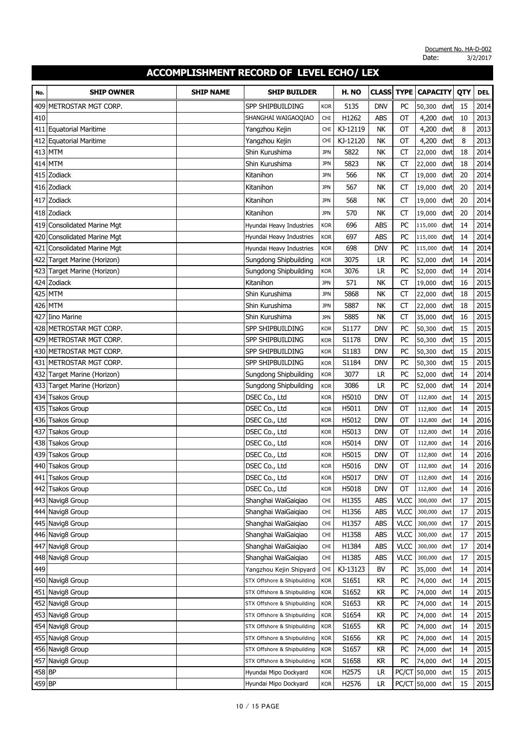| No.    | <b>SHIP OWNER</b>              | <b>SHIP NAME</b> | <b>SHIP BUILDER</b>         |            | H. NO    | <b>CLASS</b> | <b>TYPE</b> | <b>CAPACITY</b>  |     | QTY | <b>DEL</b> |
|--------|--------------------------------|------------------|-----------------------------|------------|----------|--------------|-------------|------------------|-----|-----|------------|
| 409    | METROSTAR MGT CORP.            |                  | SPP SHIPBUILDING            | <b>KOR</b> | 5135     | <b>DNV</b>   | PC          | 50,300 dwt       |     | 15  | 2014       |
| 410    |                                |                  | SHANGHAI WAIGAOQIAO         | <b>CHI</b> | H1262    | abs          | ОТ          | 4,200            | dwt | 10  | 2013       |
|        | 411 Equatorial Maritime        |                  | Yangzhou Kejin              | <b>CHI</b> | KJ-12119 | <b>NK</b>    | OT          | 4,200            | dwt | 8   | 2013       |
|        | 412 Equatorial Maritime        |                  | Yangzhou Kejin              | <b>CHI</b> | KJ-12120 | <b>NK</b>    | OT          | 4,200            | dwt | 8   | 2013       |
|        | <b>413 MTM</b>                 |                  | Shin Kurushima              | <b>JPN</b> | 5822     | <b>NK</b>    | CT          | 22,000           | dwt | 18  | 2014       |
|        | 414 MTM                        |                  | Shin Kurushima              | <b>JPN</b> | 5823     | <b>NK</b>    | СT          | 22,000           | dwt | 18  | 2014       |
| 415    | Zodiack                        |                  | Kitanihon                   | <b>JPN</b> | 566      | NK           | <b>CT</b>   | 19,000           | dwt | 20  | 2014       |
|        | 416 Zodiack                    |                  | Kitanihon                   | <b>JPN</b> | 567      | <b>NK</b>    | CT          | 19,000           | dwt | 20  | 2014       |
|        | 417 Zodiack                    |                  | Kitanihon                   | <b>JPN</b> | 568      | <b>NK</b>    | <b>CT</b>   | 19,000           | dwt | 20  | 2014       |
|        | 418 Zodiack                    |                  | Kitanihon                   | <b>JPN</b> | 570      | NΚ           | <b>CT</b>   | 19,000           | dwt | 20  | 2014       |
|        | 419 Consolidated Marine Mgt    |                  | Hyundai Heavy Industries    | <b>KOR</b> | 696      | <b>ABS</b>   | PC          | 115,000          | dwt | 14  | 2014       |
| 420    | <b>Consolidated Marine Mgt</b> |                  | Hyundai Heavy Industries    | <b>KOR</b> | 697      | <b>ABS</b>   | PC          | 115,000          | dwt | 14  | 2014       |
| 421    | <b>Consolidated Marine Mgt</b> |                  | Hyundai Heavy Industries    | <b>KOR</b> | 698      | <b>DNV</b>   | PC          | 115,000          | dwt | 14  | 2014       |
|        | 422 Target Marine (Horizon)    |                  | Sungdong Shipbuilding       | <b>KOR</b> | 3075     | LR           | PC          | 52,000           | dwt | 14  | 2014       |
|        | 423 Target Marine (Horizon)    |                  | Sungdong Shipbuilding       | <b>KOR</b> | 3076     | <b>LR</b>    | PC          | 52,000           | dwt | 14  | 2014       |
|        | 424 Zodiack                    |                  | Kitanihon                   | <b>JPN</b> | 571      | <b>NK</b>    | CT          | 19,000           | dwt | 16  | 2015       |
| 425    | <b>MTM</b>                     |                  | Shin Kurushima              | <b>JPN</b> | 5868     | <b>NK</b>    | <b>CT</b>   | 22,000           | dwt | 18  | 2015       |
| 426    | <b>MTM</b>                     |                  | Shin Kurushima              | <b>JPN</b> | 5887     | <b>NK</b>    | <b>CT</b>   | 22,000           | dwt | 18  | 2015       |
| 427    | <b>Iino Marine</b>             |                  | Shin Kurushima              | <b>JPN</b> | 5885     | NΚ           | СT          | 35,000           | dwt | 16  | 2015       |
| 428    | METROSTAR MGT CORP.            |                  | <b>SPP SHIPBUILDING</b>     | <b>KOR</b> | S1177    | <b>DNV</b>   | PC          | 50,300           | dwt | 15  | 2015       |
| 429    | METROSTAR MGT CORP.            |                  | SPP SHIPBUILDING            | <b>KOR</b> | S1178    | <b>DNV</b>   | PC          | 50,300           | dwt | 15  | 2015       |
| 430    | METROSTAR MGT CORP.            |                  | SPP SHIPBUILDING            | <b>KOR</b> | S1183    | <b>DNV</b>   | PC          | 50,300           | dwt | 15  | 2015       |
|        | 431 METROSTAR MGT CORP.        |                  | SPP SHIPBUILDING            | <b>KOR</b> | S1184    | DNV          | PC          | 50,300           | dwt | 15  | 2015       |
|        | 432 Target Marine (Horizon)    |                  | Sungdong Shipbuilding       | <b>KOR</b> | 3077     | LR           | PC          | 52,000           | dwt | 14  | 2014       |
|        | 433 Target Marine (Horizon)    |                  | Sungdong Shipbuilding       | <b>KOR</b> | 3086     | <b>LR</b>    | PC          | 52,000           | dwt | 14  | 2014       |
| 434    | Tsakos Group                   |                  | DSEC Co., Ltd               | <b>KOR</b> | H5010    | <b>DNV</b>   | OT          | 112,800          | dwt | 14  | 2015       |
| 435    | <b>Tsakos Group</b>            |                  | DSEC Co., Ltd               | <b>KOR</b> | H5011    | <b>DNV</b>   | OT          | 112,800 dwt      |     | 14  | 2015       |
| 436    | <b>Tsakos Group</b>            |                  | DSEC Co., Ltd               | <b>KOR</b> | H5012    | DNV          | OT          | 112,800 dwt      |     | 14  | 2016       |
| 437    | <b>Tsakos Group</b>            |                  | DSEC Co., Ltd               | <b>KOR</b> | H5013    | DNV          | ОТ          | 112,800 dwt      |     | 14  | 2016       |
| 438    | <b>Tsakos Group</b>            |                  | DSEC Co., Ltd               | <b>KOR</b> | H5014    | <b>DNV</b>   | OT          | 112,800          | dwt | 14  | 2016       |
| 439    | <b>Tsakos Group</b>            |                  | DSEC Co., Ltd               | <b>KOR</b> | H5015    | <b>DNV</b>   | OT          | 112,800          | dwt | 14  | 2016       |
|        | 440 Tsakos Group               |                  | DSEC Co., Ltd               | <b>KOR</b> | H5016    | <b>DNV</b>   | ОT          | 112,800 dwt      |     | 14  | 2016       |
| 441    | <b>Tsakos Group</b>            |                  | DSEC Co., Ltd               | <b>KOR</b> | H5017    | DNV          | ОТ          | 112,800 dwt      |     | 14  | 2016       |
|        | 442 Tsakos Group               |                  | DSEC Co., Ltd               | <b>KOR</b> | H5018    | <b>DNV</b>   | OT          | 112,800 dwt      |     | 14  | 2016       |
|        | 443 Navig8 Group               |                  | Shanghai WaiGaiqiao         | CHI        | H1355    | ABS          | <b>VLCC</b> | 300,000 dwt      |     | 17  | 2015       |
|        | 444 Navig8 Group               |                  | Shanghai WaiGaigiao         | <b>CHI</b> | H1356    | ABS          | <b>VLCC</b> | 300,000 dwt      |     | 17  | 2015       |
|        | 445 Navig8 Group               |                  | Shanghai WaiGaigiao         | <b>CHI</b> | H1357    | ABS          | <b>VLCC</b> | 300,000 dwt      |     | 17  | 2015       |
|        | 446 Navig8 Group               |                  | Shanghai WaiGaigiao         | CHI        | H1358    | <b>ABS</b>   | <b>VLCC</b> | 300,000 dwt      |     | 17  | 2015       |
| 447    | Navig8 Group                   |                  | Shanghai WaiGaigiao         | <b>CHI</b> | H1384    | ABS          | <b>VLCC</b> | 300,000 dwt      |     | 17  | 2014       |
|        | 448 Navig8 Group               |                  | Shanghai WaiGaigiao         | CHI        | H1385    | ABS          | <b>VLCC</b> | 300,000 dwt      |     | 17  | 2015       |
| 449    |                                |                  | Yangzhou Kejin Shipyard     | <b>CHI</b> | KJ-13123 | <b>BV</b>    | PC          | 35,000 dwt       |     | 14  | 2014       |
|        | 450 Navig8 Group               |                  | STX Offshore & Shipbuilding | <b>KOR</b> | S1651    | KR           | PC          | 74,000           | dwt | 14  | 2015       |
|        | 451 Navig8 Group               |                  | STX Offshore & Shipbuilding | <b>KOR</b> | S1652    | <b>KR</b>    | PC          | 74,000           | dwt | 14  | 2015       |
|        | 452 Navig8 Group               |                  | STX Offshore & Shipbuilding | <b>KOR</b> | S1653    | <b>KR</b>    | PC          | 74,000           | dwt | 14  | 2015       |
|        | 453 Navig8 Group               |                  | STX Offshore & Shipbuilding | <b>KOR</b> | S1654    | KR           | PC          | 74,000           | dwt | 14  | 2015       |
|        | 454 Navig8 Group               |                  | STX Offshore & Shipbuilding | <b>KOR</b> | S1655    | KR           | PC          | 74,000           | dwt | 14  | 2015       |
|        | 455 Navig8 Group               |                  | STX Offshore & Shipbuilding | <b>KOR</b> | S1656    | KR           | PC          | 74,000           | dwt | 14  | 2015       |
|        | 456 Navig8 Group               |                  | STX Offshore & Shipbuilding | <b>KOR</b> | S1657    | <b>KR</b>    | PC          | 74,000           | dwt | 14  | 2015       |
|        | 457 Navig8 Group               |                  | STX Offshore & Shipbuilding | <b>KOR</b> | S1658    | KR           | PC          | 74,000           | dwt | 14  | 2015       |
| 458 BP |                                |                  | Hyundai Mipo Dockyard       | <b>KOR</b> | H2575    | LR.          |             | PC/CT 50,000     | dwt | 15  | 2015       |
| 459 BP |                                |                  | Hyundai Mipo Dockyard       | <b>KOR</b> | H2576    | LR           |             | PC/CT 50,000 dwt |     | 15  | 2015       |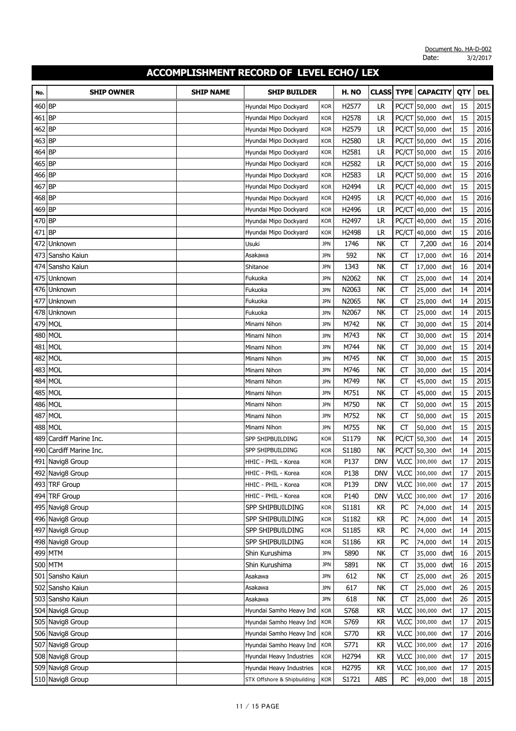| No.    | <b>SHIP OWNER</b>   | <b>SHIP NAME</b> | <b>SHIP BUILDER</b>         |            | H. NO | <b>CLASS</b> | <b>TYPE</b> | <b>CAPACITY</b>  |     | QTY | <b>DEL</b> |
|--------|---------------------|------------------|-----------------------------|------------|-------|--------------|-------------|------------------|-----|-----|------------|
| 460 BP |                     |                  | Hyundai Mipo Dockyard       | <b>KOR</b> | H2577 | <b>LR</b>    |             | PC/CT 50,000 dwt |     | 15  | 2015       |
| 461 BP |                     |                  | Hyundai Mipo Dockyard       | <b>KOR</b> | H2578 | LR           |             | PC/CT 50,000     | dwt | 15  | 2015       |
| 462 BP |                     |                  | Hyundai Mipo Dockyard       | <b>KOR</b> | H2579 | LR           |             | PC/CT 50,000     | dwt | 15  | 2016       |
| 463 BP |                     |                  | Hyundai Mipo Dockyard       | <b>KOR</b> | H2580 | LR           |             | PC/CT 50,000     | dwt | 15  | 2016       |
| 464 BP |                     |                  | Hyundai Mipo Dockyard       | <b>KOR</b> | H2581 | LR           |             | PC/CT 50,000     | dwt | 15  | 2016       |
| 465 BP |                     |                  | Hyundai Mipo Dockyard       | <b>KOR</b> | H2582 | LR           |             | PC/CT 50,000     | dwt | 15  | 2016       |
| 466 BP |                     |                  | Hyundai Mipo Dockyard       | <b>KOR</b> | H2583 | LR           |             | PC/CT 50,000     | dwt | 15  | 2016       |
| 467 BP |                     |                  | Hyundai Mipo Dockyard       | <b>KOR</b> | H2494 | LR           |             | PC/CT 40,000     | dwt | 15  | 2015       |
| 468 BP |                     |                  | Hyundai Mipo Dockyard       | <b>KOR</b> | H2495 | LR           |             | PC/CT 40,000     | dwt | 15  | 2016       |
| 469 BP |                     |                  | Hyundai Mipo Dockyard       | <b>KOR</b> | H2496 | LR           |             | PC/CT 40,000     | dwt | 15  | 2016       |
| 470 BP |                     |                  | Hyundai Mipo Dockyard       | <b>KOR</b> | H2497 | LR           |             | PC/CT 40,000     | dwt | 15  | 2016       |
| 471 BP |                     |                  | Hyundai Mipo Dockyard       | <b>KOR</b> | H2498 | LR           |             | PC/CT 40,000     | dwt | 15  | 2016       |
| 472    | Unknown             |                  | Usuki                       | <b>JPN</b> | 1746  | <b>NK</b>    | СT          | 7,200            | dwt | 16  | 2014       |
| 473    | Sansho Kaiun        |                  | Asakawa                     | <b>JPN</b> | 592   | <b>NK</b>    | <b>CT</b>   | 17,000           | dwt | 16  | 2014       |
|        | 474 Sansho Kaiun    |                  | Shitanoe                    | <b>JPN</b> | 1343  | NΚ           | СT          | 17,000           | dwt | 16  | 2014       |
| 475    | Unknown             |                  | Fukuoka                     | <b>JPN</b> | N2062 | NΚ           | CT          | 25,000           | dwt | 14  | 2014       |
| 476    | Unknown             |                  | Fukuoka                     | <b>JPN</b> | N2063 | NK           | СT          | 25,000           | dwt | 14  | 2014       |
| 477    | Unknown             |                  | Fukuoka                     | <b>JPN</b> | N2065 | NΚ           | СT          | 25,000           | dwt | 14  | 2015       |
| 478    | Unknown             |                  | Fukuoka                     | <b>JPN</b> | N2067 | <b>NK</b>    | <b>CT</b>   | 25,000           | dwt | 14  | 2015       |
|        | 479 MOL             |                  | Minami Nihon                | <b>JPN</b> | M742  | NK           | <b>CT</b>   | 30,000           | dwt | 15  | 2014       |
| 480    | <b>MOL</b>          |                  | Minami Nihon                | <b>JPN</b> | M743  | NK           | СT          | 30,000           | dwt | 15  | 2014       |
| 481    | <b>MOL</b>          |                  | Minami Nihon                | <b>JPN</b> | M744  | NK           | СT          | 30,000           | dwt | 15  | 2014       |
| 482    | <b>MOL</b>          |                  | Minami Nihon                | <b>JPN</b> | M745  | NΚ           | СT          | 30,000           | dwt | 15  | 2015       |
|        | 483 MOL             |                  | Minami Nihon                | <b>JPN</b> | M746  | <b>NK</b>    | <b>CT</b>   | 30,000           | dwt | 15  | 2014       |
|        | 484   MOL           |                  | Minami Nihon                | <b>JPN</b> | M749  | NΚ           | СT          | 45,000           | dwt | 15  | 2015       |
| 485    | <b>MOL</b>          |                  | Minami Nihon                | <b>JPN</b> | M751  | <b>NK</b>    | CT          | 45,000           | dwt | 15  | 2015       |
|        | 486 MOL             |                  | Minami Nihon                | <b>JPN</b> | M750  | <b>NK</b>    | СT          | 50,000           | dwt | 15  | 2015       |
| 487    | <b>MOL</b>          |                  | Minami Nihon                | <b>JPN</b> | M752  | <b>NK</b>    | СT          | 50,000           | dwt | 15  | 2015       |
| 488    | <b>MOL</b>          |                  | Minami Nihon                | <b>JPN</b> | M755  | <b>NK</b>    | <b>CT</b>   | 50,000           | dwt | 15  | 2015       |
| 489    | Cardiff Marine Inc. |                  | SPP SHIPBUILDING            | <b>KOR</b> | S1179 | NΚ           |             | PC/CT 50,300     | dwt | 14  | 2015       |
| 490    | Cardiff Marine Inc. |                  | SPP SHIPBUILDING            | <b>KOR</b> | S1180 | NK           |             | PC/CT 50,300     | dwt | 14  | 2015       |
|        | 491 Navig8 Group    |                  | HHIC - PHIL - Korea         | <b>KOR</b> | P137  | <b>DNV</b>   |             | VLCC 300,000 dwt |     | 17  | 2015       |
|        | 492 Navig8 Group    |                  | HHIC - PHIL - Korea         | <b>KOR</b> | P138  | <b>DNV</b>   |             | VLCC 300,000 dwt |     | 17  | 2015       |
|        | 493 TRF Group       |                  | HHIC - PHIL - Korea         | <b>KOR</b> | P139  | <b>DNV</b>   |             | VLCC 300,000 dwt |     | 17  | 2015       |
|        | 494 TRF Group       |                  | HHIC - PHIL - Korea         | <b>KOR</b> | P140  | <b>DNV</b>   |             | VLCC 300,000 dwt |     | 17  | 2016       |
|        | 495 Navig8 Group    |                  | SPP SHIPBUILDING            | <b>KOR</b> | S1181 | KR           | PC          | 74,000           | dwt | 14  | 2015       |
|        | 496 Navig8 Group    |                  | SPP SHIPBUILDING            | <b>KOR</b> | S1182 | KR           | PC          | 74,000           | dwt | 14  | 2015       |
|        | 497 Navig8 Group    |                  | SPP SHIPBUILDING            | <b>KOR</b> | S1185 | KR           | PC          | 74,000           | dwt | 14  | 2015       |
|        | 498 Navig8 Group    |                  | SPP SHIPBUILDING            | <b>KOR</b> | S1186 | <b>KR</b>    | PC          | 74,000           | dwt | 14  | 2015       |
|        | 499 MTM             |                  | Shin Kurushima              | <b>JPN</b> | 5890  | NΚ           | CT          | 35,000           | dwt | 16  | 2015       |
|        | 500 MTM             |                  | Shin Kurushima              | <b>JPN</b> | 5891  | NΚ           | СT          | 35,000           | dwt | 16  | 2015       |
|        | 501 Sansho Kaiun    |                  | Asakawa                     | <b>JPN</b> | 612   | NΚ           | CT          | 25,000           | dwt | 26  | 2015       |
|        | 502 Sansho Kaiun    |                  | Asakawa                     | <b>JPN</b> | 617   | NΚ           | CT          | 25,000           | dwt | 26  | 2015       |
|        | 503 Sansho Kaiun    |                  | Asakawa                     | <b>JPN</b> | 618   | NΚ           | <b>CT</b>   | 25,000           | dwt | 26  | 2015       |
|        | 504 Navig8 Group    |                  | Hyundai Samho Heavy Ind     | <b>KOR</b> | S768  | KR           | <b>VLCC</b> | 300,000 dwt      |     | 17  | 2015       |
|        | 505 Navig8 Group    |                  | Hyundai Samho Heavy Ind     | <b>KOR</b> | S769  | KR           |             | VLCC 300,000 dwt |     | 17  | 2015       |
|        | 506 Navig8 Group    |                  | Hyundai Samho Heavy Ind     | <b>KOR</b> | S770  | <b>KR</b>    | <b>VLCC</b> | 300,000 dwt      |     | 17  | 2016       |
|        | 507 Navig8 Group    |                  | Hyundai Samho Heavy Ind     | <b>KOR</b> | S771  | <b>KR</b>    | <b>VLCC</b> | 300,000 dwt      |     | 17  | 2016       |
|        | 508 Navig8 Group    |                  | Hyundai Heavy Industries    | <b>KOR</b> | H2794 | KR           |             | VLCC 300,000     | dwt | 17  | 2015       |
|        | 509 Navig8 Group    |                  | Hyundai Heavy Industries    | <b>KOR</b> | H2795 | KR           |             | VLCC 300,000 dwt |     | 17  | 2015       |
|        | 510 Navig8 Group    |                  | STX Offshore & Shipbuilding | <b>KOR</b> | S1721 | ABS          | PC          | 49,000 dwt       |     | 18  | 2015       |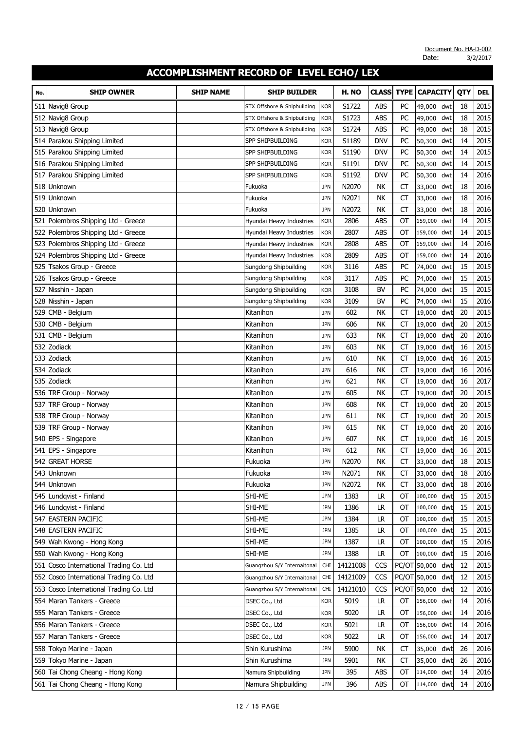| No. | <b>SHIP OWNER</b>                       | <b>SHIP NAME</b> | <b>SHIP BUILDER</b>                                        |                          | H. NO          | <b>CLASS</b>      | <b>TYPE</b> | <b>CAPACITY</b>  |            | QTY      | <b>DEL</b>   |
|-----|-----------------------------------------|------------------|------------------------------------------------------------|--------------------------|----------------|-------------------|-------------|------------------|------------|----------|--------------|
|     |                                         |                  |                                                            |                          |                |                   |             |                  |            |          |              |
| 511 | Navig8 Group                            |                  | STX Offshore & Shipbuilding                                | <b>KOR</b>               | S1722<br>S1723 | ABS<br><b>ABS</b> | PC<br>PC    | 49,000 dwt       |            | 18<br>18 | 2015<br>2015 |
|     | 512 Navig8 Group<br>513 Navig8 Group    |                  | STX Offshore & Shipbuilding<br>STX Offshore & Shipbuilding | <b>KOR</b><br><b>KOR</b> | S1724          | <b>ABS</b>        | PC          | 49,000<br>49,000 | dwt<br>dwt | 18       | 2015         |
|     | 514 Parakou Shipping Limited            |                  | SPP SHIPBUILDING                                           | <b>KOR</b>               | S1189          | DNV               | PC          | 50,300           | dwt        | 14       | 2015         |
|     | 515 Parakou Shipping Limited            |                  | SPP SHIPBUILDING                                           | <b>KOR</b>               | S1190          | <b>DNV</b>        | PC          | 50,300           | dwt        | 14       | 2015         |
|     | 516 Parakou Shipping Limited            |                  | SPP SHIPBUILDING                                           | <b>KOR</b>               | S1191          | DNV               | PC          | 50,300           | dwt        | 14       | 2015         |
| 517 | Parakou Shipping Limited                |                  | SPP SHIPBUILDING                                           | <b>KOR</b>               | S1192          | DNV               | PC          | 50,300           | dwt        | 14       | 2016         |
|     | 518 Unknown                             |                  | Fukuoka                                                    | <b>JPN</b>               | N2070          | NΚ                | CT          | 33,000           | dwt        | 18       | 2016         |
| 519 | Unknown                                 |                  | Fukuoka                                                    | <b>JPN</b>               | N2071          | NΚ                | <b>CT</b>   | 33,000           | dwt        | 18       | 2016         |
| 520 | Unknown                                 |                  | Fukuoka                                                    | <b>JPN</b>               | N2072          | <b>NK</b>         | <b>CT</b>   | 33,000           | dwt        | 18       | 2016         |
| 521 | Polembros Shipping Ltd - Greece         |                  | Hyundai Heavy Industries                                   | <b>KOR</b>               | 2806           | ABS               | OT          | 159,000          | dwt        | 14       | 2015         |
| 522 | Polembros Shipping Ltd - Greece         |                  | Hyundai Heavy Industries                                   | <b>KOR</b>               | 2807           | <b>ABS</b>        | OT          | 159,000          | dwt        | 14       | 2015         |
|     | 523 Polembros Shipping Ltd - Greece     |                  | Hyundai Heavy Industries                                   | <b>KOR</b>               | 2808           | <b>ABS</b>        | OT          | 159,000          | dwt        | 14       | 2016         |
|     | 524 Polembros Shipping Ltd - Greece     |                  | Hyundai Heavy Industries                                   | <b>KOR</b>               | 2809           | abs               | ОТ          | 159,000          | dwt        | 14       | 2016         |
| 525 | Tsakos Group - Greece                   |                  | Sungdong Shipbuilding                                      | <b>KOR</b>               | 3116           | <b>ABS</b>        | PC          | 74,000           | dwt        | 15       | 2015         |
| 526 | Tsakos Group - Greece                   |                  | Sungdong Shipbuilding                                      | <b>KOR</b>               | 3117           | ABS               | PC          | 74,000           | dwt        | 15       | 2015         |
| 527 | Nisshin - Japan                         |                  | Sungdong Shipbuilding                                      | <b>KOR</b>               | 3108           | <b>BV</b>         | PC          | 74,000           | dwt        | 15       | 2015         |
| 528 | Nisshin - Japan                         |                  | Sungdong Shipbuilding                                      | <b>KOR</b>               | 3109           | <b>BV</b>         | PC          | 74,000           | dwt        | 15       | 2016         |
| 529 | CMB - Belgium                           |                  | Kitanihon                                                  | <b>JPN</b>               | 602            | <b>NK</b>         | CT          | 19,000           | dwt        | 20       | 2015         |
| 530 | CMB - Belgium                           |                  | Kitanihon                                                  | <b>JPN</b>               | 606            | <b>NK</b>         | СT          | 19,000           | dwt        | 20       | 2015         |
| 531 | CMB - Belgium                           |                  | Kitanihon                                                  | <b>JPN</b>               | 633            | <b>NK</b>         | <b>CT</b>   | 19,000           | dwt        | 20       | 2016         |
| 532 | Zodiack                                 |                  | Kitanihon                                                  | <b>JPN</b>               | 603            | NK                | СT          | 19,000           | dwt        | 16       | 2015         |
|     | 533 Zodiack                             |                  | Kitanihon                                                  | <b>JPN</b>               | 610            | <b>NK</b>         | <b>CT</b>   | 19,000           | dwt        | 16       | 2015         |
|     | 534 Zodiack                             |                  | Kitanihon                                                  | <b>JPN</b>               | 616            | NΚ                | CT          | 19,000           | dwt        | 16       | 2016         |
| 535 | Zodiack                                 |                  | Kitanihon                                                  | <b>JPN</b>               | 621            | NΚ                | СT          | 19,000           | dwt        | 16       | 2017         |
|     | 536 TRF Group - Norway                  |                  | Kitanihon                                                  | <b>JPN</b>               | 605            | <b>NK</b>         | СT          | 19,000           | dwt        | 20       | 2015         |
| 537 | TRF Group - Norway                      |                  | Kitanihon                                                  | <b>JPN</b>               | 608            | <b>NK</b>         | CT          | 19,000           | dwt        | 20       | 2015         |
| 538 | TRF Group - Norway                      |                  | Kitanihon                                                  | <b>JPN</b>               | 611            | <b>NK</b>         | <b>CT</b>   | 19,000           | dwt        | 20       | 2015         |
| 539 | TRF Group - Norway                      |                  | Kitanihon                                                  | <b>JPN</b>               | 615            | <b>NK</b>         | <b>CT</b>   | 19,000           | dwt        | 20       | 2016         |
| 540 | EPS - Singapore                         |                  | Kitanihon                                                  | <b>JPN</b>               | 607            | <b>NK</b>         | СT          | 19,000           | dwt        | 16       | 2015         |
| 541 | EPS - Singapore                         |                  | Kitanihon                                                  | <b>JPN</b>               | 612            | <b>NK</b>         | СT          | 19,000           | dwt        | 16       | 2015         |
|     | 542 GREAT HORSE                         |                  | Fukuoka                                                    | <b>JPN</b>               | N2070          | NK                | <b>CT</b>   | 33,000           | dwt        | 18       | 2015         |
|     | 543 Unknown                             |                  | Fukuoka                                                    | <b>JPN</b>               | N2071          | NΚ                | СT          | 33,000 dwt       |            | 18       | 2016         |
|     | 544 Unknown                             |                  | Fukuoka                                                    | <b>JPN</b>               | N2072          | NΚ                | СT          | 33,000 dwt       |            | 18       | 2016         |
|     | 545 Lundqvist - Finland                 |                  | SHI-ME                                                     | <b>JPN</b>               | 1383           | LR                | ОТ          | 100,000 dwt      |            | 15       | 2015         |
|     | 546 Lundqvist - Finland                 |                  | SHI-ME                                                     | <b>JPN</b>               | 1386           | LR                | ОТ          | 100,000 dwt      |            | 15       | 2015         |
|     | 547 EASTERN PACIFIC                     |                  | SHI-ME                                                     | <b>JPN</b>               | 1384           | <b>LR</b>         | ОТ          | 100,000 dwt      |            | 15       | 2015         |
|     | 548 EASTERN PACIFIC                     |                  | SHI-ME                                                     | <b>JPN</b>               | 1385           | LR                | OT          | 100,000 dwt      |            | 15       | 2015         |
|     | 549 Wah Kwong - Hong Kong               |                  | SHI-ME                                                     | <b>JPN</b>               | 1387           | <b>LR</b>         | ОT          | 100,000 dwt      |            | 15       | 2016         |
|     | 550 Wah Kwong - Hong Kong               |                  | SHI-ME                                                     | <b>JPN</b>               | 1388           | LR.               | ОТ          | 100,000 dwt      |            | 15       | 2016         |
| 551 | Cosco International Trading Co. Ltd     |                  | Guangzhou S/Y Internaitonal                                | <b>CHI</b>               | 14121008       | CCS               |             | PC/OT 50,000 dwt |            | 12       | 2015         |
|     | 552 Cosco International Trading Co. Ltd |                  | Guangzhou S/Y Internaitonal                                | CHI                      | 14121009       | CCS               |             | PC/OT 50,000 dwt |            | 12       | 2015         |
|     | 553 Cosco International Trading Co. Ltd |                  | Guangzhou S/Y Internaitonal                                | <b>CHI</b>               | 14121010       | CCS               |             | PC/OT 50,000 dwt |            | 12       | 2016         |
|     | 554 Maran Tankers - Greece              |                  | DSEC Co., Ltd                                              | <b>KOR</b>               | 5019           | LR                | ОТ          | 156,000 dwt      |            | 14       | 2016         |
|     | 555 Maran Tankers - Greece              |                  | DSEC Co., Ltd                                              | <b>KOR</b>               | 5020           | LR                | ОТ          | 156,000 dwt      |            | 14       | 2016         |
|     | 556 Maran Tankers - Greece              |                  | DSEC Co., Ltd                                              | <b>KOR</b>               | 5021           | LR.               | ОТ          | 156,000 dwt      |            | 14       | 2016         |
|     | 557 Maran Tankers - Greece              |                  | DSEC Co., Ltd                                              | <b>KOR</b>               | 5022           | LR                | ОТ          | 156,000 dwt      |            | 14       | 2017         |
|     | 558 Tokyo Marine - Japan                |                  | Shin Kurushima                                             | <b>JPN</b>               | 5900           | NΚ                | <b>CT</b>   | 35,000 dwt       |            | 26       | 2016         |
|     | 559 Tokyo Marine - Japan                |                  | Shin Kurushima                                             | <b>JPN</b>               | 5901           | NΚ                | <b>CT</b>   | 35,000 dwt       |            | 26       | 2016         |
|     | 560 Tai Chong Cheang - Hong Kong        |                  | Namura Shipbuilding                                        | <b>JPN</b>               | 395            | ABS               | OT          | 114,000 dwt      |            | 14       | 2016         |
|     | 561 Tai Chong Cheang - Hong Kong        |                  | Namura Shipbuilding                                        | <b>JPN</b>               | 396            | ABS               | ОТ          | 114,000 dwt      |            | 14       | 2016         |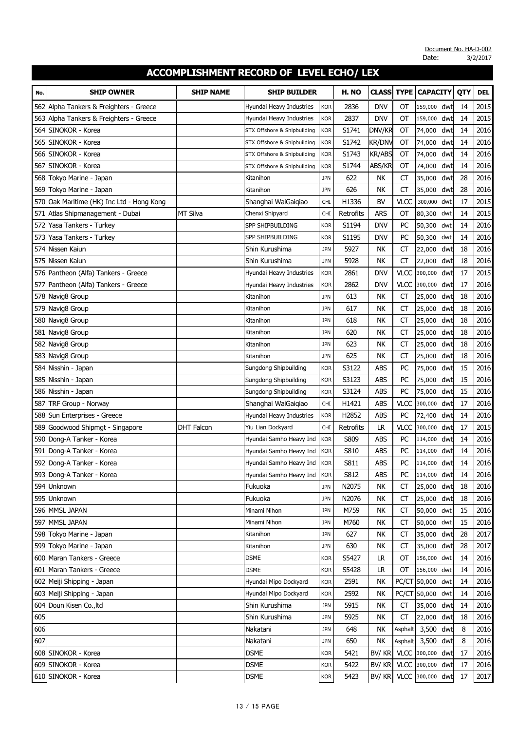| 2836<br><b>DNV</b><br>OT<br>14<br>2015<br>562<br>Alpha Tankers & Freighters - Greece<br>159,000 dwt<br>Hyundai Heavy Industries<br><b>KOR</b><br>2837<br><b>DNV</b><br>2015<br>563 Alpha Tankers & Freighters - Greece<br>OT<br>dwt<br>14<br>Hyundai Heavy Industries<br>159,000<br><b>KOR</b><br>2016<br>564 SINOKOR - Korea<br>S1741<br>DNV/KR<br><b>OT</b><br>dwt<br>14<br><b>KOR</b><br>74,000<br>STX Offshore & Shipbuilding<br>S1742<br><b>KR/DNV</b><br>2016<br>SINOKOR - Korea<br>ОT<br>74,000<br>dwt<br>14<br>565<br><b>KOR</b><br>STX Offshore & Shipbuilding<br>SINOKOR - Korea<br>S1743<br>2016<br><b>KR/ABS</b><br>ОT<br>74,000<br>dwt<br>14<br>566<br><b>KOR</b><br>STX Offshore & Shipbuilding<br>SINOKOR - Korea<br>2016<br>567<br>S1744<br>ABS/KR<br>OT<br>dwt<br>14<br>74,000<br><b>KOR</b><br>STX Offshore & Shipbuilding<br>622<br>CT<br>28<br>2016<br>568 Tokyo Marine - Japan<br>NΚ<br>35,000<br>dwt<br><b>JPN</b><br>Kitanihon<br>626<br>NK<br><b>CT</b><br>28<br>2016<br>569 Tokyo Marine - Japan<br>dwt<br>Kitanihon<br><b>JPN</b><br>35,000<br>570 Oak Maritime (HK) Inc Ltd - Hong Kong<br>H1336<br><b>BV</b><br><b>VLCC</b><br>17<br>2015<br>Shanghai WaiGaigiao<br>300,000<br><b>CHI</b><br>dwt<br>2015<br>MT Silva<br><b>ARS</b><br>OT<br>14<br>571 Atlas Shipmanagement - Dubai<br>Chenxi Shipyard<br>Retrofits<br>80,300<br><b>CHI</b><br>dwt<br>Yasa Tankers - Turkey<br>S1194<br><b>DNV</b><br>PC<br>14<br>2016<br>572<br>50,300<br>SPP SHIPBUILDING<br><b>KOR</b><br>dwt<br>PC<br>2016<br>Yasa Tankers - Turkey<br>SPP SHIPBUILDING<br>S1195<br><b>DNV</b><br>dwt<br>14<br>573<br><b>KOR</b><br>50,300<br>574 Nissen Kaiun<br>5927<br><b>CT</b><br>2016<br>Shin Kurushima<br><b>JPN</b><br>NΚ<br>22,000<br>dwt<br>18<br>2016<br>575 Nissen Kaiun<br>5928<br>NK<br><b>CT</b><br>18<br>Shin Kurushima<br><b>JPN</b><br>22,000<br>dwt<br>576 Pantheon (Alfa) Tankers - Greece<br>2861<br><b>DNV</b><br><b>VLCC</b><br>dwt<br>17<br>2015<br><b>KOR</b><br>300,000<br>Hyundai Heavy Industries<br>577 Pantheon (Alfa) Tankers - Greece<br>2862<br><b>VLCC</b><br>17<br>2016<br>Hyundai Heavy Industries<br><b>DNV</b><br>300,000<br>dwt<br><b>KOR</b><br>2016<br>578 Navig8 Group<br>613<br><b>NK</b><br><b>CT</b><br>18<br>25,000<br>dwt<br>Kitanihon<br><b>JPN</b><br>617<br><b>NK</b><br>18<br>2016<br>579 Navig8 Group<br>СT<br>25,000<br>dwt<br>Kitanihon<br><b>JPN</b><br>580 Navig8 Group<br>618<br>NK<br>18<br>2016<br>СT<br>dwt<br><b>JPN</b><br>25,000<br>Kitanihon<br>581 Navig8 Group<br>620<br><b>NK</b><br>18<br>2016<br>СT<br>25,000<br>dwt<br>Kitanihon<br><b>JPN</b><br>582 Navig8 Group<br>623<br>NK<br><b>CT</b><br>18<br>2016<br>dwt<br>Kitanihon<br><b>JPN</b><br>25,000<br>583 Navig8 Group<br><b>JPN</b><br>625<br><b>NK</b><br><b>CT</b><br>18<br>2016<br>25,000<br>dwt<br>Kitanihon<br>584 Nisshin - Japan<br>S3122<br><b>ABS</b><br>PC<br>15<br>2016<br>75,000<br>dwt<br>Sungdong Shipbuilding<br><b>KOR</b><br>15<br>585 Nisshin - Japan<br>S3123<br>ABS<br>PC<br>2016<br><b>KOR</b><br>75,000<br>dwt<br>Sungdong Shipbuilding<br>15<br>2016<br>S3124<br>ABS<br>PC<br>586 Nisshin - Japan<br>75,000<br>dwt<br><b>KOR</b><br>Sungdong Shipbuilding<br>H1421<br><b>ABS</b><br><b>VLCC</b><br>17<br>2016<br>587<br>TRF Group - Norway<br>CHI<br>300,000<br>dwt<br>Shanghai WaiGaigiao<br>PC<br>588 Sun Enterprises - Greece<br>H2852<br><b>ABS</b><br>14<br>2016<br>72,400<br>dwt<br>Hyundai Heavy Industries<br><b>KOR</b><br>589 Goodwood Shipmgt - Singapore<br><b>DHT Falcon</b><br>Retrofits<br><b>LR</b><br><b>VLCC</b><br>17<br>2015<br>Yiu Lian Dockyard<br><b>CHI</b><br>300,000<br>dwt<br>S809<br>ABS<br>2016<br>590 Dong-A Tanker - Korea<br>PC<br>dwt<br>14<br><b>KOR</b><br>114,000<br>Hyundai Samho Heavy Ind<br>591 Dong-A Tanker - Korea<br>S810<br><b>ABS</b><br>PC<br>14<br>2016<br>Hyundai Samho Heavy Ind<br><b>KOR</b><br>114,000<br>dwt<br>592 Dong-A Tanker - Korea<br>S811<br><b>ABS</b><br>PC<br>dwt<br>14<br>2016<br><b>KOR</b><br>114,000<br>Hyundai Samho Heavy Ind<br>S812<br>2016<br>593 Dong-A Tanker - Korea<br>Hyundai Samho Heavy Ind<br><b>KOR</b><br>ABS<br>PC<br>114,000 dwt<br>14<br>594 Unknown<br>N2075<br>NΚ<br>18<br>2016<br>Fukuoka<br>СT<br>25,000 dwt<br><b>JPN</b><br>595 Unknown<br>N2076<br>2016<br>Fukuoka<br>NΚ<br>25,000 dwt<br>18<br><b>JPN</b><br>CT<br>596 MMSL JAPAN<br>M759<br>15<br>2016<br>Minami Nihon<br>NΚ<br>CT<br>50,000 dwt<br><b>JPN</b><br>597 MMSL JAPAN<br>15<br>Minami Nihon<br><b>JPN</b><br>M760<br>NΚ<br>CT<br>50,000 dwt<br>2016<br>28<br>2017<br>598 Tokyo Marine - Japan<br>Kitanihon<br>627<br>NΚ<br>СT<br>35,000<br>dwt<br><b>JPN</b><br>28<br>599 Tokyo Marine - Japan<br>630<br>NΚ<br><b>CT</b><br>35,000<br>2017<br>Kitanihon<br><b>JPN</b><br>dwt<br>600 Maran Tankers - Greece<br><b>DSME</b><br>S5427<br>LR.<br>OT<br>156,000 dwt<br>14<br>2016<br><b>KOR</b><br>601 Maran Tankers - Greece<br>S5428<br>OT<br>2016<br><b>DSME</b><br><b>KOR</b><br>LR.<br>156,000 dwt<br>14<br>2591<br>NK<br>PC/CT 50,000 dwt<br>14<br>2016<br>602 Meiji Shipping - Japan<br>Hyundai Mipo Dockyard<br><b>KOR</b><br>603 Meiji Shipping - Japan<br>2592<br>PC/CT 50,000<br>2016<br>Hyundai Mipo Dockyard<br><b>KOR</b><br>NΚ<br>14<br>dwt<br>604 Doun Kisen Co., Itd<br>Shin Kurushima<br>5915<br>NK<br>35,000 dwt<br>2016<br><b>JPN</b><br>CT<br>14<br>605<br>Shin Kurushima<br>2016<br><b>JPN</b><br>5925<br>NΚ<br>CT<br>22,000<br>dwt<br>18<br>606<br>Nakatani<br>NK<br>3,500 dwt<br>8<br>2016<br><b>JPN</b><br>648<br>Asphalt<br>607<br>Nakatani<br>650<br>NΚ<br>Asphalt<br>3,500<br>8<br>2016<br><b>JPN</b><br>dwt<br>VLCC 300,000 dwt<br>608 SINOKOR - Korea<br><b>DSME</b><br>5421<br>BV/KR<br>2016<br>17<br><b>KOR</b><br>VLCC 300,000 dwt<br>609 SINOKOR - Korea<br><b>DSME</b><br>5422<br>BV/KR<br>17<br>2016<br><b>KOR</b><br>610 SINOKOR - Korea<br>VLCC 300,000 dwt<br>BV/ KR | No. | <b>SHIP OWNER</b> | SHIP NAME | <b>SHIP BUILDER</b> |     | H. NO | <b>CLASS</b> | <b>TYPE</b> | <b>CAPACITY</b> | QTY | <b>DEL</b> |
|--------------------------------------------------------------------------------------------------------------------------------------------------------------------------------------------------------------------------------------------------------------------------------------------------------------------------------------------------------------------------------------------------------------------------------------------------------------------------------------------------------------------------------------------------------------------------------------------------------------------------------------------------------------------------------------------------------------------------------------------------------------------------------------------------------------------------------------------------------------------------------------------------------------------------------------------------------------------------------------------------------------------------------------------------------------------------------------------------------------------------------------------------------------------------------------------------------------------------------------------------------------------------------------------------------------------------------------------------------------------------------------------------------------------------------------------------------------------------------------------------------------------------------------------------------------------------------------------------------------------------------------------------------------------------------------------------------------------------------------------------------------------------------------------------------------------------------------------------------------------------------------------------------------------------------------------------------------------------------------------------------------------------------------------------------------------------------------------------------------------------------------------------------------------------------------------------------------------------------------------------------------------------------------------------------------------------------------------------------------------------------------------------------------------------------------------------------------------------------------------------------------------------------------------------------------------------------------------------------------------------------------------------------------------------------------------------------------------------------------------------------------------------------------------------------------------------------------------------------------------------------------------------------------------------------------------------------------------------------------------------------------------------------------------------------------------------------------------------------------------------------------------------------------------------------------------------------------------------------------------------------------------------------------------------------------------------------------------------------------------------------------------------------------------------------------------------------------------------------------------------------------------------------------------------------------------------------------------------------------------------------------------------------------------------------------------------------------------------------------------------------------------------------------------------------------------------------------------------------------------------------------------------------------------------------------------------------------------------------------------------------------------------------------------------------------------------------------------------------------------------------------------------------------------------------------------------------------------------------------------------------------------------------------------------------------------------------------------------------------------------------------------------------------------------------------------------------------------------------------------------------------------------------------------------------------------------------------------------------------------------------------------------------------------------------------------------------------------------------------------------------------------------------------------------------------------------------------------------------------------------------------------------------------------------------------------------------------------------------------------------------------------------------------------------------------------------------------------------------------------------------------------------------------------------------------------------------------------------------------------------------------------------------------------------------------------------------------------------------------------------------------------------------------------------------------------------------------------------------------------------------------------------------------------------------------------------------------------------------------------------------------------------------------------------------------------------------------------------------------------------------------------------------------------------------------------------------------------------------------------------------------------------------------------|-----|-------------------|-----------|---------------------|-----|-------|--------------|-------------|-----------------|-----|------------|
|                                                                                                                                                                                                                                                                                                                                                                                                                                                                                                                                                                                                                                                                                                                                                                                                                                                                                                                                                                                                                                                                                                                                                                                                                                                                                                                                                                                                                                                                                                                                                                                                                                                                                                                                                                                                                                                                                                                                                                                                                                                                                                                                                                                                                                                                                                                                                                                                                                                                                                                                                                                                                                                                                                                                                                                                                                                                                                                                                                                                                                                                                                                                                                                                                                                                                                                                                                                                                                                                                                                                                                                                                                                                                                                                                                                                                                                                                                                                                                                                                                                                                                                                                                                                                                                                                                                                                                                                                                                                                                                                                                                                                                                                                                                                                                                                                                                                                                                                                                                                                                                                                                                                                                                                                                                                                                                                                                                                                                                                                                                                                                                                                                                                                                                                                                                                                                                                                                                    |     |                   |           |                     |     |       |              |             |                 |     |            |
|                                                                                                                                                                                                                                                                                                                                                                                                                                                                                                                                                                                                                                                                                                                                                                                                                                                                                                                                                                                                                                                                                                                                                                                                                                                                                                                                                                                                                                                                                                                                                                                                                                                                                                                                                                                                                                                                                                                                                                                                                                                                                                                                                                                                                                                                                                                                                                                                                                                                                                                                                                                                                                                                                                                                                                                                                                                                                                                                                                                                                                                                                                                                                                                                                                                                                                                                                                                                                                                                                                                                                                                                                                                                                                                                                                                                                                                                                                                                                                                                                                                                                                                                                                                                                                                                                                                                                                                                                                                                                                                                                                                                                                                                                                                                                                                                                                                                                                                                                                                                                                                                                                                                                                                                                                                                                                                                                                                                                                                                                                                                                                                                                                                                                                                                                                                                                                                                                                                    |     |                   |           |                     |     |       |              |             |                 |     |            |
|                                                                                                                                                                                                                                                                                                                                                                                                                                                                                                                                                                                                                                                                                                                                                                                                                                                                                                                                                                                                                                                                                                                                                                                                                                                                                                                                                                                                                                                                                                                                                                                                                                                                                                                                                                                                                                                                                                                                                                                                                                                                                                                                                                                                                                                                                                                                                                                                                                                                                                                                                                                                                                                                                                                                                                                                                                                                                                                                                                                                                                                                                                                                                                                                                                                                                                                                                                                                                                                                                                                                                                                                                                                                                                                                                                                                                                                                                                                                                                                                                                                                                                                                                                                                                                                                                                                                                                                                                                                                                                                                                                                                                                                                                                                                                                                                                                                                                                                                                                                                                                                                                                                                                                                                                                                                                                                                                                                                                                                                                                                                                                                                                                                                                                                                                                                                                                                                                                                    |     |                   |           |                     |     |       |              |             |                 |     |            |
|                                                                                                                                                                                                                                                                                                                                                                                                                                                                                                                                                                                                                                                                                                                                                                                                                                                                                                                                                                                                                                                                                                                                                                                                                                                                                                                                                                                                                                                                                                                                                                                                                                                                                                                                                                                                                                                                                                                                                                                                                                                                                                                                                                                                                                                                                                                                                                                                                                                                                                                                                                                                                                                                                                                                                                                                                                                                                                                                                                                                                                                                                                                                                                                                                                                                                                                                                                                                                                                                                                                                                                                                                                                                                                                                                                                                                                                                                                                                                                                                                                                                                                                                                                                                                                                                                                                                                                                                                                                                                                                                                                                                                                                                                                                                                                                                                                                                                                                                                                                                                                                                                                                                                                                                                                                                                                                                                                                                                                                                                                                                                                                                                                                                                                                                                                                                                                                                                                                    |     |                   |           |                     |     |       |              |             |                 |     |            |
|                                                                                                                                                                                                                                                                                                                                                                                                                                                                                                                                                                                                                                                                                                                                                                                                                                                                                                                                                                                                                                                                                                                                                                                                                                                                                                                                                                                                                                                                                                                                                                                                                                                                                                                                                                                                                                                                                                                                                                                                                                                                                                                                                                                                                                                                                                                                                                                                                                                                                                                                                                                                                                                                                                                                                                                                                                                                                                                                                                                                                                                                                                                                                                                                                                                                                                                                                                                                                                                                                                                                                                                                                                                                                                                                                                                                                                                                                                                                                                                                                                                                                                                                                                                                                                                                                                                                                                                                                                                                                                                                                                                                                                                                                                                                                                                                                                                                                                                                                                                                                                                                                                                                                                                                                                                                                                                                                                                                                                                                                                                                                                                                                                                                                                                                                                                                                                                                                                                    |     |                   |           |                     |     |       |              |             |                 |     |            |
|                                                                                                                                                                                                                                                                                                                                                                                                                                                                                                                                                                                                                                                                                                                                                                                                                                                                                                                                                                                                                                                                                                                                                                                                                                                                                                                                                                                                                                                                                                                                                                                                                                                                                                                                                                                                                                                                                                                                                                                                                                                                                                                                                                                                                                                                                                                                                                                                                                                                                                                                                                                                                                                                                                                                                                                                                                                                                                                                                                                                                                                                                                                                                                                                                                                                                                                                                                                                                                                                                                                                                                                                                                                                                                                                                                                                                                                                                                                                                                                                                                                                                                                                                                                                                                                                                                                                                                                                                                                                                                                                                                                                                                                                                                                                                                                                                                                                                                                                                                                                                                                                                                                                                                                                                                                                                                                                                                                                                                                                                                                                                                                                                                                                                                                                                                                                                                                                                                                    |     |                   |           |                     |     |       |              |             |                 |     |            |
|                                                                                                                                                                                                                                                                                                                                                                                                                                                                                                                                                                                                                                                                                                                                                                                                                                                                                                                                                                                                                                                                                                                                                                                                                                                                                                                                                                                                                                                                                                                                                                                                                                                                                                                                                                                                                                                                                                                                                                                                                                                                                                                                                                                                                                                                                                                                                                                                                                                                                                                                                                                                                                                                                                                                                                                                                                                                                                                                                                                                                                                                                                                                                                                                                                                                                                                                                                                                                                                                                                                                                                                                                                                                                                                                                                                                                                                                                                                                                                                                                                                                                                                                                                                                                                                                                                                                                                                                                                                                                                                                                                                                                                                                                                                                                                                                                                                                                                                                                                                                                                                                                                                                                                                                                                                                                                                                                                                                                                                                                                                                                                                                                                                                                                                                                                                                                                                                                                                    |     |                   |           |                     |     |       |              |             |                 |     |            |
|                                                                                                                                                                                                                                                                                                                                                                                                                                                                                                                                                                                                                                                                                                                                                                                                                                                                                                                                                                                                                                                                                                                                                                                                                                                                                                                                                                                                                                                                                                                                                                                                                                                                                                                                                                                                                                                                                                                                                                                                                                                                                                                                                                                                                                                                                                                                                                                                                                                                                                                                                                                                                                                                                                                                                                                                                                                                                                                                                                                                                                                                                                                                                                                                                                                                                                                                                                                                                                                                                                                                                                                                                                                                                                                                                                                                                                                                                                                                                                                                                                                                                                                                                                                                                                                                                                                                                                                                                                                                                                                                                                                                                                                                                                                                                                                                                                                                                                                                                                                                                                                                                                                                                                                                                                                                                                                                                                                                                                                                                                                                                                                                                                                                                                                                                                                                                                                                                                                    |     |                   |           |                     |     |       |              |             |                 |     |            |
|                                                                                                                                                                                                                                                                                                                                                                                                                                                                                                                                                                                                                                                                                                                                                                                                                                                                                                                                                                                                                                                                                                                                                                                                                                                                                                                                                                                                                                                                                                                                                                                                                                                                                                                                                                                                                                                                                                                                                                                                                                                                                                                                                                                                                                                                                                                                                                                                                                                                                                                                                                                                                                                                                                                                                                                                                                                                                                                                                                                                                                                                                                                                                                                                                                                                                                                                                                                                                                                                                                                                                                                                                                                                                                                                                                                                                                                                                                                                                                                                                                                                                                                                                                                                                                                                                                                                                                                                                                                                                                                                                                                                                                                                                                                                                                                                                                                                                                                                                                                                                                                                                                                                                                                                                                                                                                                                                                                                                                                                                                                                                                                                                                                                                                                                                                                                                                                                                                                    |     |                   |           |                     |     |       |              |             |                 |     |            |
|                                                                                                                                                                                                                                                                                                                                                                                                                                                                                                                                                                                                                                                                                                                                                                                                                                                                                                                                                                                                                                                                                                                                                                                                                                                                                                                                                                                                                                                                                                                                                                                                                                                                                                                                                                                                                                                                                                                                                                                                                                                                                                                                                                                                                                                                                                                                                                                                                                                                                                                                                                                                                                                                                                                                                                                                                                                                                                                                                                                                                                                                                                                                                                                                                                                                                                                                                                                                                                                                                                                                                                                                                                                                                                                                                                                                                                                                                                                                                                                                                                                                                                                                                                                                                                                                                                                                                                                                                                                                                                                                                                                                                                                                                                                                                                                                                                                                                                                                                                                                                                                                                                                                                                                                                                                                                                                                                                                                                                                                                                                                                                                                                                                                                                                                                                                                                                                                                                                    |     |                   |           |                     |     |       |              |             |                 |     |            |
|                                                                                                                                                                                                                                                                                                                                                                                                                                                                                                                                                                                                                                                                                                                                                                                                                                                                                                                                                                                                                                                                                                                                                                                                                                                                                                                                                                                                                                                                                                                                                                                                                                                                                                                                                                                                                                                                                                                                                                                                                                                                                                                                                                                                                                                                                                                                                                                                                                                                                                                                                                                                                                                                                                                                                                                                                                                                                                                                                                                                                                                                                                                                                                                                                                                                                                                                                                                                                                                                                                                                                                                                                                                                                                                                                                                                                                                                                                                                                                                                                                                                                                                                                                                                                                                                                                                                                                                                                                                                                                                                                                                                                                                                                                                                                                                                                                                                                                                                                                                                                                                                                                                                                                                                                                                                                                                                                                                                                                                                                                                                                                                                                                                                                                                                                                                                                                                                                                                    |     |                   |           |                     |     |       |              |             |                 |     |            |
|                                                                                                                                                                                                                                                                                                                                                                                                                                                                                                                                                                                                                                                                                                                                                                                                                                                                                                                                                                                                                                                                                                                                                                                                                                                                                                                                                                                                                                                                                                                                                                                                                                                                                                                                                                                                                                                                                                                                                                                                                                                                                                                                                                                                                                                                                                                                                                                                                                                                                                                                                                                                                                                                                                                                                                                                                                                                                                                                                                                                                                                                                                                                                                                                                                                                                                                                                                                                                                                                                                                                                                                                                                                                                                                                                                                                                                                                                                                                                                                                                                                                                                                                                                                                                                                                                                                                                                                                                                                                                                                                                                                                                                                                                                                                                                                                                                                                                                                                                                                                                                                                                                                                                                                                                                                                                                                                                                                                                                                                                                                                                                                                                                                                                                                                                                                                                                                                                                                    |     |                   |           |                     |     |       |              |             |                 |     |            |
|                                                                                                                                                                                                                                                                                                                                                                                                                                                                                                                                                                                                                                                                                                                                                                                                                                                                                                                                                                                                                                                                                                                                                                                                                                                                                                                                                                                                                                                                                                                                                                                                                                                                                                                                                                                                                                                                                                                                                                                                                                                                                                                                                                                                                                                                                                                                                                                                                                                                                                                                                                                                                                                                                                                                                                                                                                                                                                                                                                                                                                                                                                                                                                                                                                                                                                                                                                                                                                                                                                                                                                                                                                                                                                                                                                                                                                                                                                                                                                                                                                                                                                                                                                                                                                                                                                                                                                                                                                                                                                                                                                                                                                                                                                                                                                                                                                                                                                                                                                                                                                                                                                                                                                                                                                                                                                                                                                                                                                                                                                                                                                                                                                                                                                                                                                                                                                                                                                                    |     |                   |           |                     |     |       |              |             |                 |     |            |
|                                                                                                                                                                                                                                                                                                                                                                                                                                                                                                                                                                                                                                                                                                                                                                                                                                                                                                                                                                                                                                                                                                                                                                                                                                                                                                                                                                                                                                                                                                                                                                                                                                                                                                                                                                                                                                                                                                                                                                                                                                                                                                                                                                                                                                                                                                                                                                                                                                                                                                                                                                                                                                                                                                                                                                                                                                                                                                                                                                                                                                                                                                                                                                                                                                                                                                                                                                                                                                                                                                                                                                                                                                                                                                                                                                                                                                                                                                                                                                                                                                                                                                                                                                                                                                                                                                                                                                                                                                                                                                                                                                                                                                                                                                                                                                                                                                                                                                                                                                                                                                                                                                                                                                                                                                                                                                                                                                                                                                                                                                                                                                                                                                                                                                                                                                                                                                                                                                                    |     |                   |           |                     |     |       |              |             |                 |     |            |
|                                                                                                                                                                                                                                                                                                                                                                                                                                                                                                                                                                                                                                                                                                                                                                                                                                                                                                                                                                                                                                                                                                                                                                                                                                                                                                                                                                                                                                                                                                                                                                                                                                                                                                                                                                                                                                                                                                                                                                                                                                                                                                                                                                                                                                                                                                                                                                                                                                                                                                                                                                                                                                                                                                                                                                                                                                                                                                                                                                                                                                                                                                                                                                                                                                                                                                                                                                                                                                                                                                                                                                                                                                                                                                                                                                                                                                                                                                                                                                                                                                                                                                                                                                                                                                                                                                                                                                                                                                                                                                                                                                                                                                                                                                                                                                                                                                                                                                                                                                                                                                                                                                                                                                                                                                                                                                                                                                                                                                                                                                                                                                                                                                                                                                                                                                                                                                                                                                                    |     |                   |           |                     |     |       |              |             |                 |     |            |
|                                                                                                                                                                                                                                                                                                                                                                                                                                                                                                                                                                                                                                                                                                                                                                                                                                                                                                                                                                                                                                                                                                                                                                                                                                                                                                                                                                                                                                                                                                                                                                                                                                                                                                                                                                                                                                                                                                                                                                                                                                                                                                                                                                                                                                                                                                                                                                                                                                                                                                                                                                                                                                                                                                                                                                                                                                                                                                                                                                                                                                                                                                                                                                                                                                                                                                                                                                                                                                                                                                                                                                                                                                                                                                                                                                                                                                                                                                                                                                                                                                                                                                                                                                                                                                                                                                                                                                                                                                                                                                                                                                                                                                                                                                                                                                                                                                                                                                                                                                                                                                                                                                                                                                                                                                                                                                                                                                                                                                                                                                                                                                                                                                                                                                                                                                                                                                                                                                                    |     |                   |           |                     |     |       |              |             |                 |     |            |
|                                                                                                                                                                                                                                                                                                                                                                                                                                                                                                                                                                                                                                                                                                                                                                                                                                                                                                                                                                                                                                                                                                                                                                                                                                                                                                                                                                                                                                                                                                                                                                                                                                                                                                                                                                                                                                                                                                                                                                                                                                                                                                                                                                                                                                                                                                                                                                                                                                                                                                                                                                                                                                                                                                                                                                                                                                                                                                                                                                                                                                                                                                                                                                                                                                                                                                                                                                                                                                                                                                                                                                                                                                                                                                                                                                                                                                                                                                                                                                                                                                                                                                                                                                                                                                                                                                                                                                                                                                                                                                                                                                                                                                                                                                                                                                                                                                                                                                                                                                                                                                                                                                                                                                                                                                                                                                                                                                                                                                                                                                                                                                                                                                                                                                                                                                                                                                                                                                                    |     |                   |           |                     |     |       |              |             |                 |     |            |
|                                                                                                                                                                                                                                                                                                                                                                                                                                                                                                                                                                                                                                                                                                                                                                                                                                                                                                                                                                                                                                                                                                                                                                                                                                                                                                                                                                                                                                                                                                                                                                                                                                                                                                                                                                                                                                                                                                                                                                                                                                                                                                                                                                                                                                                                                                                                                                                                                                                                                                                                                                                                                                                                                                                                                                                                                                                                                                                                                                                                                                                                                                                                                                                                                                                                                                                                                                                                                                                                                                                                                                                                                                                                                                                                                                                                                                                                                                                                                                                                                                                                                                                                                                                                                                                                                                                                                                                                                                                                                                                                                                                                                                                                                                                                                                                                                                                                                                                                                                                                                                                                                                                                                                                                                                                                                                                                                                                                                                                                                                                                                                                                                                                                                                                                                                                                                                                                                                                    |     |                   |           |                     |     |       |              |             |                 |     |            |
|                                                                                                                                                                                                                                                                                                                                                                                                                                                                                                                                                                                                                                                                                                                                                                                                                                                                                                                                                                                                                                                                                                                                                                                                                                                                                                                                                                                                                                                                                                                                                                                                                                                                                                                                                                                                                                                                                                                                                                                                                                                                                                                                                                                                                                                                                                                                                                                                                                                                                                                                                                                                                                                                                                                                                                                                                                                                                                                                                                                                                                                                                                                                                                                                                                                                                                                                                                                                                                                                                                                                                                                                                                                                                                                                                                                                                                                                                                                                                                                                                                                                                                                                                                                                                                                                                                                                                                                                                                                                                                                                                                                                                                                                                                                                                                                                                                                                                                                                                                                                                                                                                                                                                                                                                                                                                                                                                                                                                                                                                                                                                                                                                                                                                                                                                                                                                                                                                                                    |     |                   |           |                     |     |       |              |             |                 |     |            |
|                                                                                                                                                                                                                                                                                                                                                                                                                                                                                                                                                                                                                                                                                                                                                                                                                                                                                                                                                                                                                                                                                                                                                                                                                                                                                                                                                                                                                                                                                                                                                                                                                                                                                                                                                                                                                                                                                                                                                                                                                                                                                                                                                                                                                                                                                                                                                                                                                                                                                                                                                                                                                                                                                                                                                                                                                                                                                                                                                                                                                                                                                                                                                                                                                                                                                                                                                                                                                                                                                                                                                                                                                                                                                                                                                                                                                                                                                                                                                                                                                                                                                                                                                                                                                                                                                                                                                                                                                                                                                                                                                                                                                                                                                                                                                                                                                                                                                                                                                                                                                                                                                                                                                                                                                                                                                                                                                                                                                                                                                                                                                                                                                                                                                                                                                                                                                                                                                                                    |     |                   |           |                     |     |       |              |             |                 |     |            |
|                                                                                                                                                                                                                                                                                                                                                                                                                                                                                                                                                                                                                                                                                                                                                                                                                                                                                                                                                                                                                                                                                                                                                                                                                                                                                                                                                                                                                                                                                                                                                                                                                                                                                                                                                                                                                                                                                                                                                                                                                                                                                                                                                                                                                                                                                                                                                                                                                                                                                                                                                                                                                                                                                                                                                                                                                                                                                                                                                                                                                                                                                                                                                                                                                                                                                                                                                                                                                                                                                                                                                                                                                                                                                                                                                                                                                                                                                                                                                                                                                                                                                                                                                                                                                                                                                                                                                                                                                                                                                                                                                                                                                                                                                                                                                                                                                                                                                                                                                                                                                                                                                                                                                                                                                                                                                                                                                                                                                                                                                                                                                                                                                                                                                                                                                                                                                                                                                                                    |     |                   |           |                     |     |       |              |             |                 |     |            |
|                                                                                                                                                                                                                                                                                                                                                                                                                                                                                                                                                                                                                                                                                                                                                                                                                                                                                                                                                                                                                                                                                                                                                                                                                                                                                                                                                                                                                                                                                                                                                                                                                                                                                                                                                                                                                                                                                                                                                                                                                                                                                                                                                                                                                                                                                                                                                                                                                                                                                                                                                                                                                                                                                                                                                                                                                                                                                                                                                                                                                                                                                                                                                                                                                                                                                                                                                                                                                                                                                                                                                                                                                                                                                                                                                                                                                                                                                                                                                                                                                                                                                                                                                                                                                                                                                                                                                                                                                                                                                                                                                                                                                                                                                                                                                                                                                                                                                                                                                                                                                                                                                                                                                                                                                                                                                                                                                                                                                                                                                                                                                                                                                                                                                                                                                                                                                                                                                                                    |     |                   |           |                     |     |       |              |             |                 |     |            |
|                                                                                                                                                                                                                                                                                                                                                                                                                                                                                                                                                                                                                                                                                                                                                                                                                                                                                                                                                                                                                                                                                                                                                                                                                                                                                                                                                                                                                                                                                                                                                                                                                                                                                                                                                                                                                                                                                                                                                                                                                                                                                                                                                                                                                                                                                                                                                                                                                                                                                                                                                                                                                                                                                                                                                                                                                                                                                                                                                                                                                                                                                                                                                                                                                                                                                                                                                                                                                                                                                                                                                                                                                                                                                                                                                                                                                                                                                                                                                                                                                                                                                                                                                                                                                                                                                                                                                                                                                                                                                                                                                                                                                                                                                                                                                                                                                                                                                                                                                                                                                                                                                                                                                                                                                                                                                                                                                                                                                                                                                                                                                                                                                                                                                                                                                                                                                                                                                                                    |     |                   |           |                     |     |       |              |             |                 |     |            |
|                                                                                                                                                                                                                                                                                                                                                                                                                                                                                                                                                                                                                                                                                                                                                                                                                                                                                                                                                                                                                                                                                                                                                                                                                                                                                                                                                                                                                                                                                                                                                                                                                                                                                                                                                                                                                                                                                                                                                                                                                                                                                                                                                                                                                                                                                                                                                                                                                                                                                                                                                                                                                                                                                                                                                                                                                                                                                                                                                                                                                                                                                                                                                                                                                                                                                                                                                                                                                                                                                                                                                                                                                                                                                                                                                                                                                                                                                                                                                                                                                                                                                                                                                                                                                                                                                                                                                                                                                                                                                                                                                                                                                                                                                                                                                                                                                                                                                                                                                                                                                                                                                                                                                                                                                                                                                                                                                                                                                                                                                                                                                                                                                                                                                                                                                                                                                                                                                                                    |     |                   |           |                     |     |       |              |             |                 |     |            |
|                                                                                                                                                                                                                                                                                                                                                                                                                                                                                                                                                                                                                                                                                                                                                                                                                                                                                                                                                                                                                                                                                                                                                                                                                                                                                                                                                                                                                                                                                                                                                                                                                                                                                                                                                                                                                                                                                                                                                                                                                                                                                                                                                                                                                                                                                                                                                                                                                                                                                                                                                                                                                                                                                                                                                                                                                                                                                                                                                                                                                                                                                                                                                                                                                                                                                                                                                                                                                                                                                                                                                                                                                                                                                                                                                                                                                                                                                                                                                                                                                                                                                                                                                                                                                                                                                                                                                                                                                                                                                                                                                                                                                                                                                                                                                                                                                                                                                                                                                                                                                                                                                                                                                                                                                                                                                                                                                                                                                                                                                                                                                                                                                                                                                                                                                                                                                                                                                                                    |     |                   |           |                     |     |       |              |             |                 |     |            |
|                                                                                                                                                                                                                                                                                                                                                                                                                                                                                                                                                                                                                                                                                                                                                                                                                                                                                                                                                                                                                                                                                                                                                                                                                                                                                                                                                                                                                                                                                                                                                                                                                                                                                                                                                                                                                                                                                                                                                                                                                                                                                                                                                                                                                                                                                                                                                                                                                                                                                                                                                                                                                                                                                                                                                                                                                                                                                                                                                                                                                                                                                                                                                                                                                                                                                                                                                                                                                                                                                                                                                                                                                                                                                                                                                                                                                                                                                                                                                                                                                                                                                                                                                                                                                                                                                                                                                                                                                                                                                                                                                                                                                                                                                                                                                                                                                                                                                                                                                                                                                                                                                                                                                                                                                                                                                                                                                                                                                                                                                                                                                                                                                                                                                                                                                                                                                                                                                                                    |     |                   |           |                     |     |       |              |             |                 |     |            |
|                                                                                                                                                                                                                                                                                                                                                                                                                                                                                                                                                                                                                                                                                                                                                                                                                                                                                                                                                                                                                                                                                                                                                                                                                                                                                                                                                                                                                                                                                                                                                                                                                                                                                                                                                                                                                                                                                                                                                                                                                                                                                                                                                                                                                                                                                                                                                                                                                                                                                                                                                                                                                                                                                                                                                                                                                                                                                                                                                                                                                                                                                                                                                                                                                                                                                                                                                                                                                                                                                                                                                                                                                                                                                                                                                                                                                                                                                                                                                                                                                                                                                                                                                                                                                                                                                                                                                                                                                                                                                                                                                                                                                                                                                                                                                                                                                                                                                                                                                                                                                                                                                                                                                                                                                                                                                                                                                                                                                                                                                                                                                                                                                                                                                                                                                                                                                                                                                                                    |     |                   |           |                     |     |       |              |             |                 |     |            |
|                                                                                                                                                                                                                                                                                                                                                                                                                                                                                                                                                                                                                                                                                                                                                                                                                                                                                                                                                                                                                                                                                                                                                                                                                                                                                                                                                                                                                                                                                                                                                                                                                                                                                                                                                                                                                                                                                                                                                                                                                                                                                                                                                                                                                                                                                                                                                                                                                                                                                                                                                                                                                                                                                                                                                                                                                                                                                                                                                                                                                                                                                                                                                                                                                                                                                                                                                                                                                                                                                                                                                                                                                                                                                                                                                                                                                                                                                                                                                                                                                                                                                                                                                                                                                                                                                                                                                                                                                                                                                                                                                                                                                                                                                                                                                                                                                                                                                                                                                                                                                                                                                                                                                                                                                                                                                                                                                                                                                                                                                                                                                                                                                                                                                                                                                                                                                                                                                                                    |     |                   |           |                     |     |       |              |             |                 |     |            |
|                                                                                                                                                                                                                                                                                                                                                                                                                                                                                                                                                                                                                                                                                                                                                                                                                                                                                                                                                                                                                                                                                                                                                                                                                                                                                                                                                                                                                                                                                                                                                                                                                                                                                                                                                                                                                                                                                                                                                                                                                                                                                                                                                                                                                                                                                                                                                                                                                                                                                                                                                                                                                                                                                                                                                                                                                                                                                                                                                                                                                                                                                                                                                                                                                                                                                                                                                                                                                                                                                                                                                                                                                                                                                                                                                                                                                                                                                                                                                                                                                                                                                                                                                                                                                                                                                                                                                                                                                                                                                                                                                                                                                                                                                                                                                                                                                                                                                                                                                                                                                                                                                                                                                                                                                                                                                                                                                                                                                                                                                                                                                                                                                                                                                                                                                                                                                                                                                                                    |     |                   |           |                     |     |       |              |             |                 |     |            |
|                                                                                                                                                                                                                                                                                                                                                                                                                                                                                                                                                                                                                                                                                                                                                                                                                                                                                                                                                                                                                                                                                                                                                                                                                                                                                                                                                                                                                                                                                                                                                                                                                                                                                                                                                                                                                                                                                                                                                                                                                                                                                                                                                                                                                                                                                                                                                                                                                                                                                                                                                                                                                                                                                                                                                                                                                                                                                                                                                                                                                                                                                                                                                                                                                                                                                                                                                                                                                                                                                                                                                                                                                                                                                                                                                                                                                                                                                                                                                                                                                                                                                                                                                                                                                                                                                                                                                                                                                                                                                                                                                                                                                                                                                                                                                                                                                                                                                                                                                                                                                                                                                                                                                                                                                                                                                                                                                                                                                                                                                                                                                                                                                                                                                                                                                                                                                                                                                                                    |     |                   |           |                     |     |       |              |             |                 |     |            |
|                                                                                                                                                                                                                                                                                                                                                                                                                                                                                                                                                                                                                                                                                                                                                                                                                                                                                                                                                                                                                                                                                                                                                                                                                                                                                                                                                                                                                                                                                                                                                                                                                                                                                                                                                                                                                                                                                                                                                                                                                                                                                                                                                                                                                                                                                                                                                                                                                                                                                                                                                                                                                                                                                                                                                                                                                                                                                                                                                                                                                                                                                                                                                                                                                                                                                                                                                                                                                                                                                                                                                                                                                                                                                                                                                                                                                                                                                                                                                                                                                                                                                                                                                                                                                                                                                                                                                                                                                                                                                                                                                                                                                                                                                                                                                                                                                                                                                                                                                                                                                                                                                                                                                                                                                                                                                                                                                                                                                                                                                                                                                                                                                                                                                                                                                                                                                                                                                                                    |     |                   |           |                     |     |       |              |             |                 |     |            |
|                                                                                                                                                                                                                                                                                                                                                                                                                                                                                                                                                                                                                                                                                                                                                                                                                                                                                                                                                                                                                                                                                                                                                                                                                                                                                                                                                                                                                                                                                                                                                                                                                                                                                                                                                                                                                                                                                                                                                                                                                                                                                                                                                                                                                                                                                                                                                                                                                                                                                                                                                                                                                                                                                                                                                                                                                                                                                                                                                                                                                                                                                                                                                                                                                                                                                                                                                                                                                                                                                                                                                                                                                                                                                                                                                                                                                                                                                                                                                                                                                                                                                                                                                                                                                                                                                                                                                                                                                                                                                                                                                                                                                                                                                                                                                                                                                                                                                                                                                                                                                                                                                                                                                                                                                                                                                                                                                                                                                                                                                                                                                                                                                                                                                                                                                                                                                                                                                                                    |     |                   |           |                     |     |       |              |             |                 |     |            |
|                                                                                                                                                                                                                                                                                                                                                                                                                                                                                                                                                                                                                                                                                                                                                                                                                                                                                                                                                                                                                                                                                                                                                                                                                                                                                                                                                                                                                                                                                                                                                                                                                                                                                                                                                                                                                                                                                                                                                                                                                                                                                                                                                                                                                                                                                                                                                                                                                                                                                                                                                                                                                                                                                                                                                                                                                                                                                                                                                                                                                                                                                                                                                                                                                                                                                                                                                                                                                                                                                                                                                                                                                                                                                                                                                                                                                                                                                                                                                                                                                                                                                                                                                                                                                                                                                                                                                                                                                                                                                                                                                                                                                                                                                                                                                                                                                                                                                                                                                                                                                                                                                                                                                                                                                                                                                                                                                                                                                                                                                                                                                                                                                                                                                                                                                                                                                                                                                                                    |     |                   |           |                     |     |       |              |             |                 |     |            |
|                                                                                                                                                                                                                                                                                                                                                                                                                                                                                                                                                                                                                                                                                                                                                                                                                                                                                                                                                                                                                                                                                                                                                                                                                                                                                                                                                                                                                                                                                                                                                                                                                                                                                                                                                                                                                                                                                                                                                                                                                                                                                                                                                                                                                                                                                                                                                                                                                                                                                                                                                                                                                                                                                                                                                                                                                                                                                                                                                                                                                                                                                                                                                                                                                                                                                                                                                                                                                                                                                                                                                                                                                                                                                                                                                                                                                                                                                                                                                                                                                                                                                                                                                                                                                                                                                                                                                                                                                                                                                                                                                                                                                                                                                                                                                                                                                                                                                                                                                                                                                                                                                                                                                                                                                                                                                                                                                                                                                                                                                                                                                                                                                                                                                                                                                                                                                                                                                                                    |     |                   |           |                     |     |       |              |             |                 |     |            |
|                                                                                                                                                                                                                                                                                                                                                                                                                                                                                                                                                                                                                                                                                                                                                                                                                                                                                                                                                                                                                                                                                                                                                                                                                                                                                                                                                                                                                                                                                                                                                                                                                                                                                                                                                                                                                                                                                                                                                                                                                                                                                                                                                                                                                                                                                                                                                                                                                                                                                                                                                                                                                                                                                                                                                                                                                                                                                                                                                                                                                                                                                                                                                                                                                                                                                                                                                                                                                                                                                                                                                                                                                                                                                                                                                                                                                                                                                                                                                                                                                                                                                                                                                                                                                                                                                                                                                                                                                                                                                                                                                                                                                                                                                                                                                                                                                                                                                                                                                                                                                                                                                                                                                                                                                                                                                                                                                                                                                                                                                                                                                                                                                                                                                                                                                                                                                                                                                                                    |     |                   |           |                     |     |       |              |             |                 |     |            |
|                                                                                                                                                                                                                                                                                                                                                                                                                                                                                                                                                                                                                                                                                                                                                                                                                                                                                                                                                                                                                                                                                                                                                                                                                                                                                                                                                                                                                                                                                                                                                                                                                                                                                                                                                                                                                                                                                                                                                                                                                                                                                                                                                                                                                                                                                                                                                                                                                                                                                                                                                                                                                                                                                                                                                                                                                                                                                                                                                                                                                                                                                                                                                                                                                                                                                                                                                                                                                                                                                                                                                                                                                                                                                                                                                                                                                                                                                                                                                                                                                                                                                                                                                                                                                                                                                                                                                                                                                                                                                                                                                                                                                                                                                                                                                                                                                                                                                                                                                                                                                                                                                                                                                                                                                                                                                                                                                                                                                                                                                                                                                                                                                                                                                                                                                                                                                                                                                                                    |     |                   |           |                     |     |       |              |             |                 |     |            |
|                                                                                                                                                                                                                                                                                                                                                                                                                                                                                                                                                                                                                                                                                                                                                                                                                                                                                                                                                                                                                                                                                                                                                                                                                                                                                                                                                                                                                                                                                                                                                                                                                                                                                                                                                                                                                                                                                                                                                                                                                                                                                                                                                                                                                                                                                                                                                                                                                                                                                                                                                                                                                                                                                                                                                                                                                                                                                                                                                                                                                                                                                                                                                                                                                                                                                                                                                                                                                                                                                                                                                                                                                                                                                                                                                                                                                                                                                                                                                                                                                                                                                                                                                                                                                                                                                                                                                                                                                                                                                                                                                                                                                                                                                                                                                                                                                                                                                                                                                                                                                                                                                                                                                                                                                                                                                                                                                                                                                                                                                                                                                                                                                                                                                                                                                                                                                                                                                                                    |     |                   |           |                     |     |       |              |             |                 |     |            |
|                                                                                                                                                                                                                                                                                                                                                                                                                                                                                                                                                                                                                                                                                                                                                                                                                                                                                                                                                                                                                                                                                                                                                                                                                                                                                                                                                                                                                                                                                                                                                                                                                                                                                                                                                                                                                                                                                                                                                                                                                                                                                                                                                                                                                                                                                                                                                                                                                                                                                                                                                                                                                                                                                                                                                                                                                                                                                                                                                                                                                                                                                                                                                                                                                                                                                                                                                                                                                                                                                                                                                                                                                                                                                                                                                                                                                                                                                                                                                                                                                                                                                                                                                                                                                                                                                                                                                                                                                                                                                                                                                                                                                                                                                                                                                                                                                                                                                                                                                                                                                                                                                                                                                                                                                                                                                                                                                                                                                                                                                                                                                                                                                                                                                                                                                                                                                                                                                                                    |     |                   |           |                     |     |       |              |             |                 |     |            |
|                                                                                                                                                                                                                                                                                                                                                                                                                                                                                                                                                                                                                                                                                                                                                                                                                                                                                                                                                                                                                                                                                                                                                                                                                                                                                                                                                                                                                                                                                                                                                                                                                                                                                                                                                                                                                                                                                                                                                                                                                                                                                                                                                                                                                                                                                                                                                                                                                                                                                                                                                                                                                                                                                                                                                                                                                                                                                                                                                                                                                                                                                                                                                                                                                                                                                                                                                                                                                                                                                                                                                                                                                                                                                                                                                                                                                                                                                                                                                                                                                                                                                                                                                                                                                                                                                                                                                                                                                                                                                                                                                                                                                                                                                                                                                                                                                                                                                                                                                                                                                                                                                                                                                                                                                                                                                                                                                                                                                                                                                                                                                                                                                                                                                                                                                                                                                                                                                                                    |     |                   |           |                     |     |       |              |             |                 |     |            |
|                                                                                                                                                                                                                                                                                                                                                                                                                                                                                                                                                                                                                                                                                                                                                                                                                                                                                                                                                                                                                                                                                                                                                                                                                                                                                                                                                                                                                                                                                                                                                                                                                                                                                                                                                                                                                                                                                                                                                                                                                                                                                                                                                                                                                                                                                                                                                                                                                                                                                                                                                                                                                                                                                                                                                                                                                                                                                                                                                                                                                                                                                                                                                                                                                                                                                                                                                                                                                                                                                                                                                                                                                                                                                                                                                                                                                                                                                                                                                                                                                                                                                                                                                                                                                                                                                                                                                                                                                                                                                                                                                                                                                                                                                                                                                                                                                                                                                                                                                                                                                                                                                                                                                                                                                                                                                                                                                                                                                                                                                                                                                                                                                                                                                                                                                                                                                                                                                                                    |     |                   |           |                     |     |       |              |             |                 |     |            |
|                                                                                                                                                                                                                                                                                                                                                                                                                                                                                                                                                                                                                                                                                                                                                                                                                                                                                                                                                                                                                                                                                                                                                                                                                                                                                                                                                                                                                                                                                                                                                                                                                                                                                                                                                                                                                                                                                                                                                                                                                                                                                                                                                                                                                                                                                                                                                                                                                                                                                                                                                                                                                                                                                                                                                                                                                                                                                                                                                                                                                                                                                                                                                                                                                                                                                                                                                                                                                                                                                                                                                                                                                                                                                                                                                                                                                                                                                                                                                                                                                                                                                                                                                                                                                                                                                                                                                                                                                                                                                                                                                                                                                                                                                                                                                                                                                                                                                                                                                                                                                                                                                                                                                                                                                                                                                                                                                                                                                                                                                                                                                                                                                                                                                                                                                                                                                                                                                                                    |     |                   |           |                     |     |       |              |             |                 |     |            |
|                                                                                                                                                                                                                                                                                                                                                                                                                                                                                                                                                                                                                                                                                                                                                                                                                                                                                                                                                                                                                                                                                                                                                                                                                                                                                                                                                                                                                                                                                                                                                                                                                                                                                                                                                                                                                                                                                                                                                                                                                                                                                                                                                                                                                                                                                                                                                                                                                                                                                                                                                                                                                                                                                                                                                                                                                                                                                                                                                                                                                                                                                                                                                                                                                                                                                                                                                                                                                                                                                                                                                                                                                                                                                                                                                                                                                                                                                                                                                                                                                                                                                                                                                                                                                                                                                                                                                                                                                                                                                                                                                                                                                                                                                                                                                                                                                                                                                                                                                                                                                                                                                                                                                                                                                                                                                                                                                                                                                                                                                                                                                                                                                                                                                                                                                                                                                                                                                                                    |     |                   |           |                     |     |       |              |             |                 |     |            |
|                                                                                                                                                                                                                                                                                                                                                                                                                                                                                                                                                                                                                                                                                                                                                                                                                                                                                                                                                                                                                                                                                                                                                                                                                                                                                                                                                                                                                                                                                                                                                                                                                                                                                                                                                                                                                                                                                                                                                                                                                                                                                                                                                                                                                                                                                                                                                                                                                                                                                                                                                                                                                                                                                                                                                                                                                                                                                                                                                                                                                                                                                                                                                                                                                                                                                                                                                                                                                                                                                                                                                                                                                                                                                                                                                                                                                                                                                                                                                                                                                                                                                                                                                                                                                                                                                                                                                                                                                                                                                                                                                                                                                                                                                                                                                                                                                                                                                                                                                                                                                                                                                                                                                                                                                                                                                                                                                                                                                                                                                                                                                                                                                                                                                                                                                                                                                                                                                                                    |     |                   |           |                     |     |       |              |             |                 |     |            |
|                                                                                                                                                                                                                                                                                                                                                                                                                                                                                                                                                                                                                                                                                                                                                                                                                                                                                                                                                                                                                                                                                                                                                                                                                                                                                                                                                                                                                                                                                                                                                                                                                                                                                                                                                                                                                                                                                                                                                                                                                                                                                                                                                                                                                                                                                                                                                                                                                                                                                                                                                                                                                                                                                                                                                                                                                                                                                                                                                                                                                                                                                                                                                                                                                                                                                                                                                                                                                                                                                                                                                                                                                                                                                                                                                                                                                                                                                                                                                                                                                                                                                                                                                                                                                                                                                                                                                                                                                                                                                                                                                                                                                                                                                                                                                                                                                                                                                                                                                                                                                                                                                                                                                                                                                                                                                                                                                                                                                                                                                                                                                                                                                                                                                                                                                                                                                                                                                                                    |     |                   |           |                     |     |       |              |             |                 |     |            |
|                                                                                                                                                                                                                                                                                                                                                                                                                                                                                                                                                                                                                                                                                                                                                                                                                                                                                                                                                                                                                                                                                                                                                                                                                                                                                                                                                                                                                                                                                                                                                                                                                                                                                                                                                                                                                                                                                                                                                                                                                                                                                                                                                                                                                                                                                                                                                                                                                                                                                                                                                                                                                                                                                                                                                                                                                                                                                                                                                                                                                                                                                                                                                                                                                                                                                                                                                                                                                                                                                                                                                                                                                                                                                                                                                                                                                                                                                                                                                                                                                                                                                                                                                                                                                                                                                                                                                                                                                                                                                                                                                                                                                                                                                                                                                                                                                                                                                                                                                                                                                                                                                                                                                                                                                                                                                                                                                                                                                                                                                                                                                                                                                                                                                                                                                                                                                                                                                                                    |     |                   |           |                     |     |       |              |             |                 |     |            |
|                                                                                                                                                                                                                                                                                                                                                                                                                                                                                                                                                                                                                                                                                                                                                                                                                                                                                                                                                                                                                                                                                                                                                                                                                                                                                                                                                                                                                                                                                                                                                                                                                                                                                                                                                                                                                                                                                                                                                                                                                                                                                                                                                                                                                                                                                                                                                                                                                                                                                                                                                                                                                                                                                                                                                                                                                                                                                                                                                                                                                                                                                                                                                                                                                                                                                                                                                                                                                                                                                                                                                                                                                                                                                                                                                                                                                                                                                                                                                                                                                                                                                                                                                                                                                                                                                                                                                                                                                                                                                                                                                                                                                                                                                                                                                                                                                                                                                                                                                                                                                                                                                                                                                                                                                                                                                                                                                                                                                                                                                                                                                                                                                                                                                                                                                                                                                                                                                                                    |     |                   |           |                     |     |       |              |             |                 |     |            |
|                                                                                                                                                                                                                                                                                                                                                                                                                                                                                                                                                                                                                                                                                                                                                                                                                                                                                                                                                                                                                                                                                                                                                                                                                                                                                                                                                                                                                                                                                                                                                                                                                                                                                                                                                                                                                                                                                                                                                                                                                                                                                                                                                                                                                                                                                                                                                                                                                                                                                                                                                                                                                                                                                                                                                                                                                                                                                                                                                                                                                                                                                                                                                                                                                                                                                                                                                                                                                                                                                                                                                                                                                                                                                                                                                                                                                                                                                                                                                                                                                                                                                                                                                                                                                                                                                                                                                                                                                                                                                                                                                                                                                                                                                                                                                                                                                                                                                                                                                                                                                                                                                                                                                                                                                                                                                                                                                                                                                                                                                                                                                                                                                                                                                                                                                                                                                                                                                                                    |     |                   |           |                     |     |       |              |             |                 |     |            |
|                                                                                                                                                                                                                                                                                                                                                                                                                                                                                                                                                                                                                                                                                                                                                                                                                                                                                                                                                                                                                                                                                                                                                                                                                                                                                                                                                                                                                                                                                                                                                                                                                                                                                                                                                                                                                                                                                                                                                                                                                                                                                                                                                                                                                                                                                                                                                                                                                                                                                                                                                                                                                                                                                                                                                                                                                                                                                                                                                                                                                                                                                                                                                                                                                                                                                                                                                                                                                                                                                                                                                                                                                                                                                                                                                                                                                                                                                                                                                                                                                                                                                                                                                                                                                                                                                                                                                                                                                                                                                                                                                                                                                                                                                                                                                                                                                                                                                                                                                                                                                                                                                                                                                                                                                                                                                                                                                                                                                                                                                                                                                                                                                                                                                                                                                                                                                                                                                                                    |     |                   |           |                     |     |       |              |             |                 |     |            |
|                                                                                                                                                                                                                                                                                                                                                                                                                                                                                                                                                                                                                                                                                                                                                                                                                                                                                                                                                                                                                                                                                                                                                                                                                                                                                                                                                                                                                                                                                                                                                                                                                                                                                                                                                                                                                                                                                                                                                                                                                                                                                                                                                                                                                                                                                                                                                                                                                                                                                                                                                                                                                                                                                                                                                                                                                                                                                                                                                                                                                                                                                                                                                                                                                                                                                                                                                                                                                                                                                                                                                                                                                                                                                                                                                                                                                                                                                                                                                                                                                                                                                                                                                                                                                                                                                                                                                                                                                                                                                                                                                                                                                                                                                                                                                                                                                                                                                                                                                                                                                                                                                                                                                                                                                                                                                                                                                                                                                                                                                                                                                                                                                                                                                                                                                                                                                                                                                                                    |     |                   |           | <b>DSME</b>         | KOR | 5423  |              |             |                 | 17  | 2017       |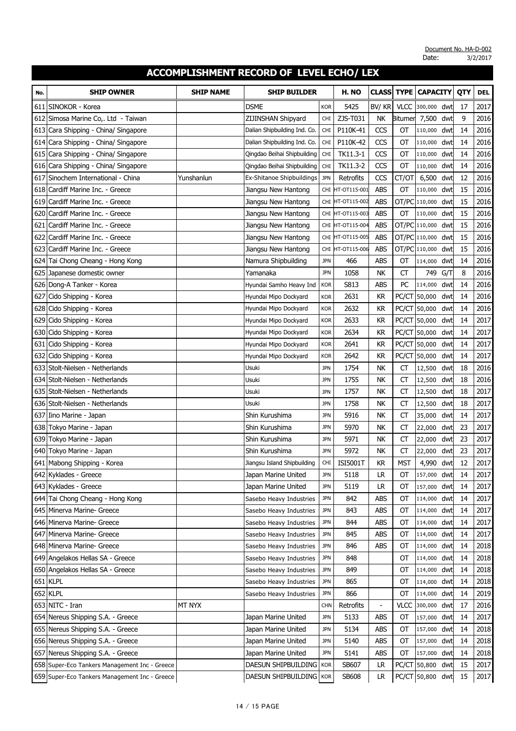| No. | <b>SHIP OWNER</b>                             | <b>SHIP NAME</b> | <b>SHIP BUILDER</b>          |            | H. NO        | <b>CLASS</b>   | <b>TYPE</b>    | <b>CAPACITY</b>   |     | QTY | <b>DEL</b> |
|-----|-----------------------------------------------|------------------|------------------------------|------------|--------------|----------------|----------------|-------------------|-----|-----|------------|
| 611 | SINOKOR - Korea                               |                  | <b>DSME</b>                  | <b>KOR</b> | 5425         | BV/KR          | <b>VLCC</b>    | 300,000           | dwt | 17  | 2017       |
|     | 612 Simosa Marine Co,. Ltd - Taiwan           |                  | ZIJINSHAN Shipyard           | <b>CHI</b> | ZJS-T031     | NK             | <b>Bitumer</b> | 7,500             | dwt | 9   | 2016       |
|     | 613 Cara Shipping - China/ Singapore          |                  | Dalian Shipbuilding Ind. Co. | <b>CHI</b> | P110K-41     | CCS            | OT             | 110,000           | dwt | 14  | 2016       |
|     | 614 Cara Shipping - China/ Singapore          |                  | Dalian Shipbuilding Ind. Co. | <b>CHI</b> | P110K-42     | CCS            | OT             | 110,000           | dwt | 14  | 2016       |
|     | 615 Cara Shipping - China/ Singapore          |                  | Qingdao Beihai Shipbuilding  | <b>CHI</b> | TK11.3-1     | CCS            | OT             | 110,000           | dwt | 14  | 2016       |
|     | 616 Cara Shipping - China/ Singapore          |                  | Qingdao Beihai Shipbuilding  | <b>CHI</b> | TK11.3-2     | CCS            | OT             | 110,000           | dwt | 14  | 2016       |
| 617 | Sinochem International - China                | Yunshanlun       | Ex-Shitanoe Shipbuildings    | <b>JPN</b> | Retrofits    | CCS            | CT/OT          | 6,500             | dwt | 12  | 2016       |
| 618 | Cardiff Marine Inc. - Greece                  |                  | Jiangsu New Hantong          | CHI        | HT-OT115-001 | ABS            | ОT             | 110,000           | dwt | 15  | 2016       |
| 619 | Cardiff Marine Inc. - Greece                  |                  | Jiangsu New Hantong          | CHI        | HT-OT115-002 | <b>ABS</b>     | OT/PC          | 110,000           | dwt | 15  | 2016       |
| 620 | Cardiff Marine Inc. - Greece                  |                  | Jiangsu New Hantong          | <b>CHI</b> | HT-OT115-003 | ABS            | <b>OT</b>      | 110,000           | dwt | 15  | 2016       |
| 621 | Cardiff Marine Inc. - Greece                  |                  | Jiangsu New Hantong          | CHI        | HT-OT115-004 | <b>ABS</b>     |                | OT/PC 110,000 dwt |     | 15  | 2016       |
| 622 | Cardiff Marine Inc. - Greece                  |                  | Jiangsu New Hantong          | CHI        | HT-OT115-005 | <b>ABS</b>     |                | OT/PC 110,000     | dwt | 15  | 2016       |
| 623 | Cardiff Marine Inc. - Greece                  |                  | Jiangsu New Hantong          | <b>CHI</b> | HT-OT115-006 | <b>ABS</b>     |                | OT/PC 110,000     | dwt | 15  | 2016       |
|     | 624 Tai Chong Cheang - Hong Kong              |                  | Namura Shipbuilding          | <b>JPN</b> | 466          | ABS            | ОT             | 114,000           | dwt | 14  | 2016       |
|     | 625 Japanese domestic owner                   |                  | Yamanaka                     | <b>JPN</b> | 1058         | <b>NK</b>      | <b>CT</b>      | 749               | G/T | 8   | 2016       |
|     | 626 Dong-A Tanker - Korea                     |                  | Hyundai Samho Heavy Ind      | <b>KOR</b> | S813         | <b>ABS</b>     | PC             | 114,000           | dwt | 14  | 2016       |
| 627 | Cido Shipping - Korea                         |                  | Hyundai Mipo Dockyard        | Kor        | 2631         | <b>KR</b>      |                | PC/CT 50,000      | dwt | 14  | 2016       |
| 628 | Cido Shipping - Korea                         |                  | Hyundai Mipo Dockyard        | <b>KOR</b> | 2632         | KR             |                | PC/CT 50,000      | dwt | 14  | 2016       |
| 629 | Cido Shipping - Korea                         |                  | Hyundai Mipo Dockyard        | <b>KOR</b> | 2633         | KR             | PC/CT          | 50,000            | dwt | 14  | 2017       |
| 630 | Cido Shipping - Korea                         |                  | Hyundai Mipo Dockyard        | <b>KOR</b> | 2634         | <b>KR</b>      |                | PC/CT 50,000      | dwt | 14  | 2017       |
|     | 631 Cido Shipping - Korea                     |                  | Hyundai Mipo Dockyard        | <b>KOR</b> | 2641         | <b>KR</b>      |                | PC/CT 50,000      | dwt | 14  | 2017       |
| 632 | Cido Shipping - Korea                         |                  | Hyundai Mipo Dockyard        | <b>KOR</b> | 2642         | <b>KR</b>      |                | PC/CT 50,000      | dwt | 14  | 2017       |
|     | 633 Stolt-Nielsen - Netherlands               |                  | Usuki                        | <b>JPN</b> | 1754         | <b>NK</b>      | СT             | 12,500            | dwt | 18  | 2016       |
|     | 634 Stolt-Nielsen - Netherlands               |                  | Usuki                        | <b>JPN</b> | 1755         | NΚ             | СT             | 12,500            | dwt | 18  | 2016       |
| 635 | Stolt-Nielsen - Netherlands                   |                  | Usuki                        | <b>JPN</b> | 1757         | NΚ             | CT             | 12,500            | dwt | 18  | 2017       |
|     | 636 Stolt-Nielsen - Netherlands               |                  | Usuki                        | <b>JPN</b> | 1758         | NΚ             | СT             | 12,500            | dwt | 18  | 2017       |
| 637 | Iino Marine - Japan                           |                  | Shin Kurushima               | <b>JPN</b> | 5916         | NΚ             | CT             | 35,000            | dwt | 14  | 2017       |
|     | 638 Tokyo Marine - Japan                      |                  | Shin Kurushima               | <b>JPN</b> | 5970         | NK             | <b>CT</b>      | 22,000            | dwt | 23  | 2017       |
|     | 639 Tokyo Marine - Japan                      |                  | Shin Kurushima               | <b>JPN</b> | 5971         | <b>NK</b>      | CT             | 22,000            | dwt | 23  | 2017       |
|     | 640 Tokyo Marine - Japan                      |                  | Shin Kurushima               | <b>JPN</b> | 5972         | NΚ             | CT             | 22,000            | dwt | 23  | 2017       |
|     | 641 Mabong Shipping - Korea                   |                  | Jiangsu Island Shipbuilding  | <b>CHI</b> | ISI5001T     | <b>KR</b>      | <b>MST</b>     | 4,990             | dwt | 12  | 2017       |
|     | 642 Kyklades - Greece                         |                  | Japan Marine United          | <b>JPN</b> | 5118         | <b>LR</b>      | ОТ             | 157,000 dwt       |     | 14  | 2017       |
|     | 643 Kyklades - Greece                         |                  | Japan Marine United          | <b>JPN</b> | 5119         | LR             | ОТ             | 157,000 dwt       |     | 14  | 2017       |
|     | 644 Tai Chong Cheang - Hong Kong              |                  | Sasebo Heavy Industries      | <b>JPN</b> | 842          | ABS            | OT             | 114,000 dwt       |     | 14  | 2017       |
|     | 645 Minerva Marine- Greece                    |                  | Sasebo Heavy Industries      | <b>JPN</b> | 843          | ABS            | ОT             | 114,000 dwt       |     | 14  | 2017       |
|     | 646 Minerva Marine- Greece                    |                  | Sasebo Heavy Industries      | <b>JPN</b> | 844          | ABS            | ОТ             | 114,000 dwt       |     | 14  | 2017       |
|     | 647 Minerva Marine- Greece                    |                  | Sasebo Heavy Industries      | <b>JPN</b> | 845          | abs            | OT             | 114,000 dwt       |     | 14  | 2017       |
|     | 648 Minerva Marine- Greece                    |                  | Sasebo Heavy Industries      | <b>JPN</b> | 846          | ABS            | ОТ             | 114,000 dwt       |     | 14  | 2018       |
|     | 649 Angelakos Hellas SA - Greece              |                  | Sasebo Heavy Industries      | <b>JPN</b> | 848          |                | ОT             | 114,000 dwt       |     | 14  | 2018       |
|     | 650 Angelakos Hellas SA - Greece              |                  | Sasebo Heavy Industries      | <b>JPN</b> | 849          |                | ОТ             | 114,000 dwt       |     | 14  | 2018       |
|     | 651 KLPL                                      |                  | Sasebo Heavy Industries      | <b>JPN</b> | 865          |                | OT             | 114,000 dwt       |     | 14  | 2018       |
|     | 652 KLPL                                      |                  | Sasebo Heavy Industries      | <b>JPN</b> | 866          |                | ОT             | 114,000 dwt       |     | 14  | 2019       |
|     | 653 NITC - Iran                               | MT NYX           |                              | <b>CHN</b> | Retrofits    | $\overline{a}$ | <b>VLCC</b>    | 300,000 dwt       |     | 17  | 2016       |
|     | 654 Nereus Shipping S.A. - Greece             |                  | Japan Marine United          | <b>JPN</b> | 5133         | <b>ABS</b>     | OT             | 157,000 dwt       |     | 14  | 2017       |
|     | 655 Nereus Shipping S.A. - Greece             |                  | Japan Marine United          | <b>JPN</b> | 5134         | ABS            | ОT             | 157,000 dwt       |     | 14  | 2018       |
|     | 656 Nereus Shipping S.A. - Greece             |                  | Japan Marine United          | <b>JPN</b> | 5140         | ABS            | OT             | 157,000 dwt       |     | 14  | 2018       |
|     | 657 Nereus Shipping S.A. - Greece             |                  | Japan Marine United          | <b>JPN</b> | 5141         | ABS            | OT             | 157,000 dwt       |     | 14  | 2018       |
|     | 658 Super-Eco Tankers Management Inc - Greece |                  | DAESUN SHIPBUILDING          | <b>KOR</b> | SB607        | <b>LR</b>      |                | PC/CT 50,800 dwt  |     | 15  | 2017       |
|     | 659 Super-Eco Tankers Management Inc - Greece |                  | DAESUN SHIPBUILDING          | <b>KOR</b> | <b>SB608</b> | LR             |                | PC/CT 50,800 dwt  |     | 15  | 2017       |